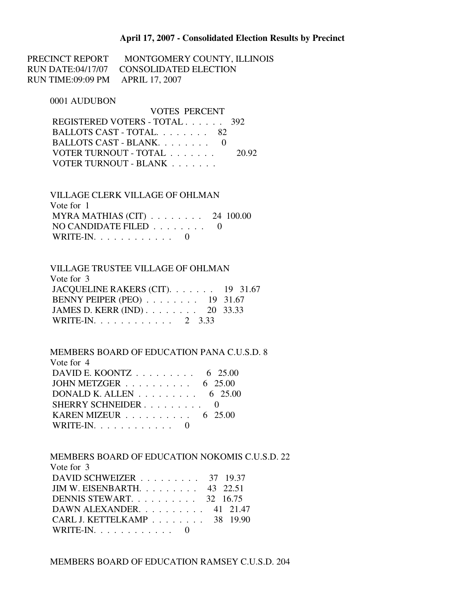#### **April 17, 2007 - Consolidated Election Results by Precinct**

PRECINCT REPORT MONTGOMERY COUNTY, ILLINOIS RUN DATE:04/17/07 CONSOLIDATED ELECTION RUN TIME:09:09 PM APRIL 17, 2007

#### 0001 AUDUBON

| VOTES PERCENT                 |       |
|-------------------------------|-------|
| REGISTERED VOTERS - TOTAL 392 |       |
| BALLOTS CAST - TOTAL 82       |       |
| BALLOTS CAST - BLANK.         |       |
| VOTER TURNOUT - TOTAL         | 20.92 |
| VOTER TURNOUT - BLANK         |       |

 VILLAGE CLERK VILLAGE OF OHLMAN Vote for 1 MYRA MATHIAS (CIT) . . . . . . . . 24 100.00 NO CANDIDATE FILED  $\ldots \ldots \ldots$ WRITE-IN.  $\ldots$  . . . . . . . . . 0

| <b>VILLAGE TRUSTEE VILLAGE OF OHLMAN</b>           |  |
|----------------------------------------------------|--|
| Vote for 3                                         |  |
| JACQUELINE RAKERS (CIT). $\ldots$ 19 31.67         |  |
| BENNY PEIPER (PEO) $\ldots \ldots \ldots$ 19 31.67 |  |
| JAMES D. KERR (IND) 20 33.33                       |  |
| WRITE-IN. 2 3.33                                   |  |

 MEMBERS BOARD OF EDUCATION PANA C.U.S.D. 8 Vote for 4 DAVID E. KOONTZ . . . . . . . . . 6 25.00 JOHN METZGER . . . . . . . . . . 6 25.00 DONALD K. ALLEN . . . . . . . . . 6 25.00 SHERRY SCHNEIDER . . . . . . . . . 0 KAREN MIZEUR . . . . . . . . . . 6 25.00 WRITE-IN. . . . . . . . . . . . 0

 MEMBERS BOARD OF EDUCATION NOKOMIS C.U.S.D. 22 Vote for 3 DAVID SCHWEIZER . . . . . . . . . 37 19.37 JIM W. EISENBARTH. . . . . . . . . 43 22.51 DENNIS STEWART. . . . . . . . . . 32 16.75 DAWN ALEXANDER. . . . . . . . . . 41 21.47 CARL J. KETTELKAMP . . . . . . . . 38 19.90 WRITE-IN. . . . . . . . . . . . 0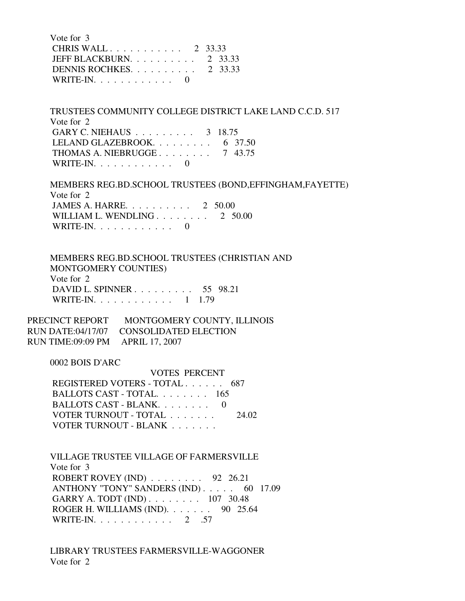Vote for 3 CHRIS WALL . . . . . . . . . . . 2 33.33 JEFF BLACKBURN. . . . . . . . . . 2 33.33 DENNIS ROCHKES. . . . . . . . . . 2 33.33 WRITE-IN. . . . . . . . . . . . 0

 TRUSTEES COMMUNITY COLLEGE DISTRICT LAKE LAND C.C.D. 517 Vote for 2 GARY C. NIEHAUS . . . . . . . . . 3 18.75 LELAND GLAZEBROOK. . . . . . . . . . 6 37.50 THOMAS A. NIEBRUGGE . . . . . . . . 7 43.75 WRITE-IN.  $\ldots$  . . . . . . . . 0

 MEMBERS REG.BD.SCHOOL TRUSTEES (BOND,EFFINGHAM,FAYETTE) Vote for 2 JAMES A. HARRE. . . . . . . . . . 2 50.00 WILLIAM L. WENDLING . . . . . . . . 2 50.00 WRITE-IN.  $\ldots$  . . . . . . . . 0

 MEMBERS REG.BD.SCHOOL TRUSTEES (CHRISTIAN AND MONTGOMERY COUNTIES) Vote for 2 DAVID L. SPINNER . . . . . . . . . 55 98.21 WRITE-IN. . . . . . . . . . . . 1 1.79

PRECINCT REPORT MONTGOMERY COUNTY, ILLINOIS RUN DATE:04/17/07 CONSOLIDATED ELECTION RUN TIME:09:09 PM APRIL 17, 2007

0002 BOIS D'ARC

 VOTES PERCENT REGISTERED VOTERS - TOTAL . . . . . . 687 BALLOTS CAST - TOTAL. . . . . . . . 165 BALLOTS CAST - BLANK. . . . . . . . 0 VOTER TURNOUT - TOTAL . . . . . . . 24.02 VOTER TURNOUT - BLANK . . . . . . .

 VILLAGE TRUSTEE VILLAGE OF FARMERSVILLE Vote for 3 ROBERT ROVEY (IND) . . . . . . . . 92 26.21 ANTHONY "TONY" SANDERS (IND) . . . . . 60 17.09 GARRY A. TODT (IND) . . . . . . . . 107 30.48 ROGER H. WILLIAMS (IND). . . . . . . 90 25.64 WRITE-IN. . . . . . . . . . . . 2 .57

 LIBRARY TRUSTEES FARMERSVILLE-WAGGONER Vote for 2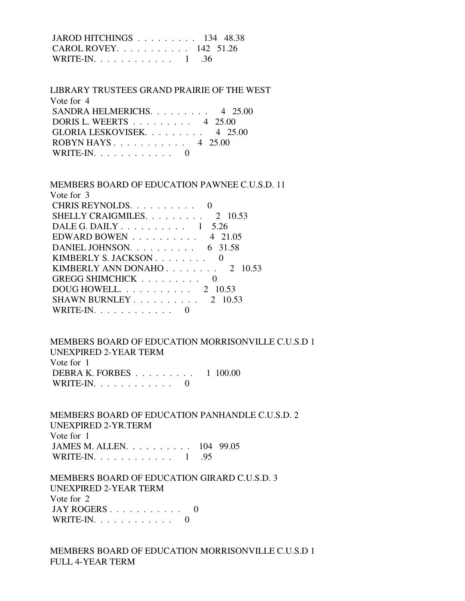JAROD HITCHINGS . . . . . . . . . 134 48.38 CAROL ROVEY. . . . . . . . . . . 142 51.26 WRITE-IN. . . . . . . . . . . . 1 .36

 LIBRARY TRUSTEES GRAND PRAIRIE OF THE WEST Vote for 4 SANDRA HELMERICHS. . . . . . . . . 4 25.00 DORIS L. WEERTS . . . . . . . . . 4 25.00 GLORIA LESKOVISEK. . . . . . . . . 4 25.00 ROBYN HAYS . . . . . . . . . . . 4 25.00 WRITE-IN.  $\ldots$  . . . . . . . . . 0

 MEMBERS BOARD OF EDUCATION PAWNEE C.U.S.D. 11 Vote for 3 CHRIS REYNOLDS. . . . . . . . . . 0 SHELLY CRAIGMILES. . . . . . . . . 2 10.53 DALE G. DAILY  $\ldots$ , . . . . . . . 1 5.26 EDWARD BOWEN . . . . . . . . . . 4 21.05 DANIEL JOHNSON. . . . . . . . . . 6 31.58 KIMBERLY S. JACKSON . . . . . . . . 0 KIMBERLY ANN DONAHO . . . . . . . . 2 10.53 GREGG SHIMCHICK . . . . . . . . . 0 DOUG HOWELL. . . . . . . . . . . 2 10.53 SHAWN BURNLEY  $\ldots$  . . . . . . . . 2 10.53 WRITE-IN. . . . . . . . . . . . 0

 MEMBERS BOARD OF EDUCATION MORRISONVILLE C.U.S.D 1 UNEXPIRED 2-YEAR TERM Vote for 1 DEBRA K. FORBES . . . . . . . . . 1 100.00 WRITE-IN.  $\ldots$  . . . . . . . . . 0

 MEMBERS BOARD OF EDUCATION PANHANDLE C.U.S.D. 2 UNEXPIRED 2-YR.TERM Vote for 1 JAMES M. ALLEN. . . . . . . . . . 104 99.05 WRITE-IN. . . . . . . . . . . . 1 .95

 MEMBERS BOARD OF EDUCATION GIRARD C.U.S.D. 3 UNEXPIRED 2-YEAR TERM Vote for 2 JAY ROGERS . . . . . . . . . . . 0  $WRITE-IN. \ldots \ldots \ldots$ 

 MEMBERS BOARD OF EDUCATION MORRISONVILLE C.U.S.D 1 FULL 4-YEAR TERM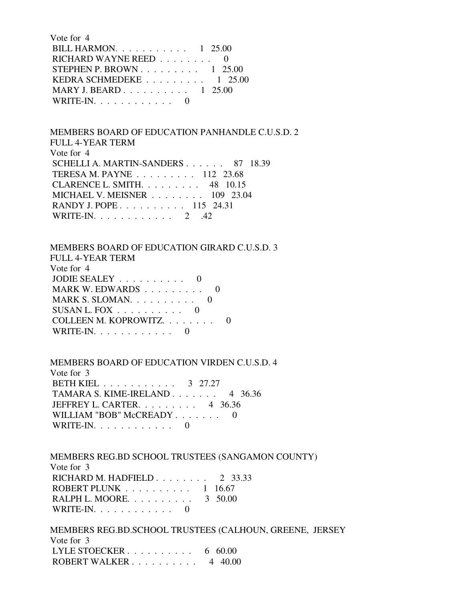| Vote for 4                                            |  |
|-------------------------------------------------------|--|
| BILL HARMON. $\ldots$ 1 25.00                         |  |
| RICHARD WAYNE REED $\ldots$ ,  0                      |  |
| STEPHEN P. BROWN $1\,25.00$                           |  |
| KEDRA SCHMEDEKE $\ldots \ldots \ldots \ldots 1$ 25.00 |  |
| MARY J. BEARD 1 25.00                                 |  |
| WRITE-IN. $\ldots$ 0                                  |  |

# MEMBERS BOARD OF EDUCATION PANHANDLE C.U.S.D. 2 FULL 4-YEAR TERM Vote for 4 SCHELLI A. MARTIN-SANDERS . . . . . . 87 18.39 TERESA M. PAYNE . . . . . . . . . 112 23.68 CLARENCE L. SMITH. . . . . . . . . 48 10.15 MICHAEL V. MEISNER . . . . . . . . 109 23.04 RANDY J. POPE . . . . . . . . . . 115 24.31 WRITE-IN. . . . . . . . . . . . . 2 .42

## MEMBERS BOARD OF EDUCATION GIRARD C.U.S.D. 3

| FULL 4-YEAR TERM                           |
|--------------------------------------------|
| Vote for 4                                 |
| JODIE SEALEY $\ldots \ldots \ldots \ldots$ |
| MARK W. EDWARDS                            |
| MARK S. SLOMAN. $\ldots$ 0                 |
| SUSAN L. FOX                               |
| COLLEEN M. KOPROWITZ.                      |
| $WRITE-IN. \ldots \ldots \ldots$           |
|                                            |

## MEMBERS BOARD OF EDUCATION VIRDEN C.U.S.D. 4

 Vote for 3 BETH KIEL . . . . . . . . . . . 3 27.27 TAMARA S. KIME-IRELAND . . . . . . . 4 36.36 JEFFREY L. CARTER. . . . . . . . . 4 36.36 WILLIAM "BOB" McCREADY . . . . . . . 0 WRITE-IN. . . . . . . . . . . . 0

 MEMBERS REG.BD SCHOOL TRUSTEES (SANGAMON COUNTY) Vote for 3 RICHARD M. HADFIELD . . . . . . . . 2 33.33 ROBERT PLUNK . . . . . . . . . . 1 16.67 RALPH L. MOORE. . . . . . . . . . 3 50.00 WRITE-IN. . . . . . . . . . . . 0

 MEMBERS REG.BD.SCHOOL TRUSTEES (CALHOUN, GREENE, JERSEY Vote for 3 LYLE STOECKER . . . . . . . . . . . 6 60.00 ROBERT WALKER . . . . . . . . . . 4 40.00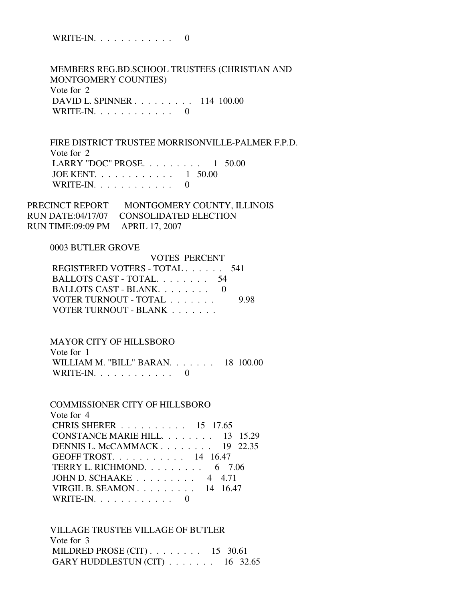WRITE-IN. . . . . . . . . . . . 0

 MEMBERS REG.BD.SCHOOL TRUSTEES (CHRISTIAN AND MONTGOMERY COUNTIES) Vote for 2 DAVID L. SPINNER . . . . . . . . . 114 100.00 WRITE-IN. . . . . . . . . . . . 0

 FIRE DISTRICT TRUSTEE MORRISONVILLE-PALMER F.P.D. Vote for 2 LARRY "DOC" PROSE. . . . . . . . . 1 50.00 JOE KENT. . . . . . . . . . . . 1 50.00 WRITE-IN. . . . . . . . . . . . 0

PRECINCT REPORT MONTGOMERY COUNTY, ILLINOIS RUN DATE:04/17/07 CONSOLIDATED ELECTION RUN TIME:09:09 PM APRIL 17, 2007

## 0003 BUTLER GROVE

| <b>VOTES PERCENT</b>          |      |
|-------------------------------|------|
| REGISTERED VOTERS - TOTAL 541 |      |
| BALLOTS CAST - TOTAL 54       |      |
| BALLOTS CAST - BLANK. 0       |      |
| VOTER TURNOUT - TOTAL         | 9.98 |
| VOTER TURNOUT - BLANK         |      |

## MAYOR CITY OF HILLSBORO

| Vote for 1                                             |  |
|--------------------------------------------------------|--|
| WILLIAM M. "BILL" BARAN. $\ldots$ $\ldots$ . 18 100.00 |  |
| WRITE-IN. $\ldots$ 0                                   |  |

| <b>COMMISSIONER CITY OF HILLSBORO</b>            |
|--------------------------------------------------|
| Vote for 4                                       |
| CHRIS SHERER 15 17.65                            |
| CONSTANCE MARIE HILL. 13 15.29                   |
| DENNIS L. McCAMMACK $19$ 22.35                   |
| GEOFF TROST. 14 16.47                            |
| TERRY L. RICHMOND. $\ldots \ldots \ldots$ 6 7.06 |
| JOHN D. SCHAAKE $\ldots \ldots \ldots$ 4 4.71    |
| VIRGIL B. SEAMON $14$ 16.47                      |
| $\text{WRITE-IN.}\ldots\ldots\ldots\ldots\ldots$ |

 VILLAGE TRUSTEE VILLAGE OF BUTLER Vote for 3 MILDRED PROSE (CIT) . . . . . . . . 15 30.61 GARY HUDDLESTUN (CIT)  $\ldots \ldots \ldots$  16 32.65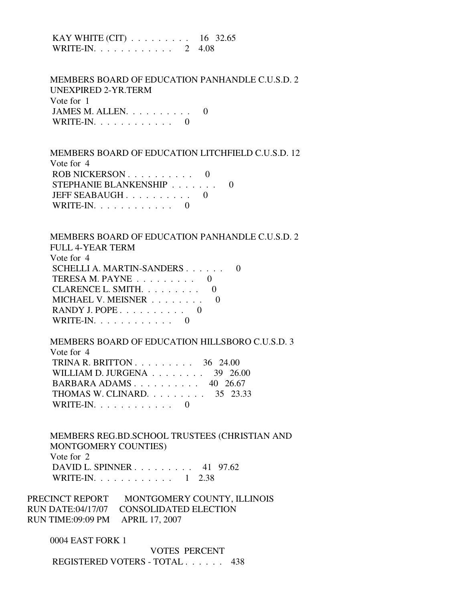KAY WHITE (CIT) . . . . . . . . . 16 32.65 WRITE-IN. . . . . . . . . . . . 2 4.08

 MEMBERS BOARD OF EDUCATION PANHANDLE C.U.S.D. 2 UNEXPIRED 2-YR.TERM Vote for 1 JAMES M. ALLEN.  $\ldots$  . . . . . . . 0 WRITE-IN. . . . . . . . . . . . 0

 MEMBERS BOARD OF EDUCATION LITCHFIELD C.U.S.D. 12 Vote for 4 ROB NICKERSON . . . . . . . . . . 0 STEPHANIE BLANKENSHIP . . . . . . . 0 JEFF SEABAUGH . . . . . . . . . . 0 WRITE-IN. . . . . . . . . . . . 0

 MEMBERS BOARD OF EDUCATION PANHANDLE C.U.S.D. 2 FULL 4-YEAR TERM Vote for 4 SCHELLI A. MARTIN-SANDERS . . . . . . 0 TERESA M. PAYNE  $\ldots$  . . . . . . . 0 CLARENCE L. SMITH. . . . . . . . . 0 MICHAEL V. MEISNER . . . . . . . . 0 RANDY J. POPE  $\ldots$  . . . . . . . . 0 WRITE-IN.  $\ldots$  . . . . . . . . 0

 MEMBERS BOARD OF EDUCATION HILLSBORO C.U.S.D. 3 Vote for 4 TRINA R. BRITTON . . . . . . . . . 36 24.00 WILLIAM D. JURGENA . . . . . . . . 39 26.00 BARBARA ADAMS . . . . . . . . . . 40 26.67 THOMAS W. CLINARD. . . . . . . . . 35 23.33 WRITE-IN. . . . . . . . . . . . 0

 MEMBERS REG.BD.SCHOOL TRUSTEES (CHRISTIAN AND MONTGOMERY COUNTIES) Vote for 2 DAVID L. SPINNER . . . . . . . . . 41 97.62 WRITE-IN. . . . . . . . . . . . 1 2.38

PRECINCT REPORT MONTGOMERY COUNTY, ILLINOIS RUN DATE:04/17/07 CONSOLIDATED ELECTION RUN TIME:09:09 PM APRIL 17, 2007

0004 EAST FORK 1

 VOTES PERCENT REGISTERED VOTERS - TOTAL . . . . . . 438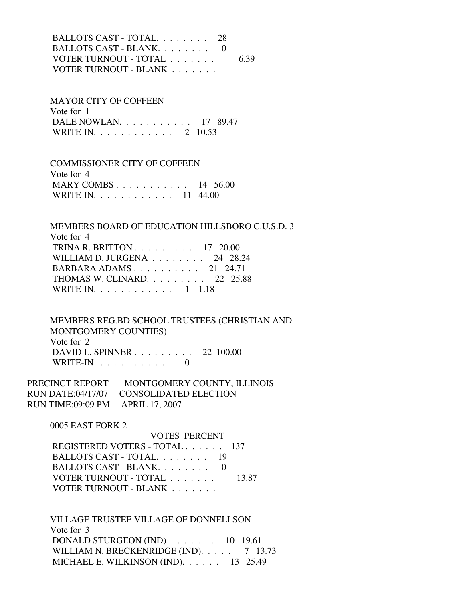BALLOTS CAST - TOTAL. . . . . . . . 28 BALLOTS CAST - BLANK. . . . . . . . 0 VOTER TURNOUT - TOTAL . . . . . . . 6.39 VOTER TURNOUT - BLANK . . . . . . .

 MAYOR CITY OF COFFEEN Vote for 1 DALE NOWLAN. . . . . . . . . . . 17 89.47 WRITE-IN. . . . . . . . . . . . . 2 10.53

 COMMISSIONER CITY OF COFFEEN Vote for 4 MARY COMBS . . . . . . . . . . . 14 56.00 WRITE-IN. . . . . . . . . . . . 11 44.00

 MEMBERS BOARD OF EDUCATION HILLSBORO C.U.S.D. 3 Vote for 4 TRINA R. BRITTON . . . . . . . . . 17 20.00 WILLIAM D. JURGENA . . . . . . . . 24 28.24 BARBARA ADAMS . . . . . . . . . . 21 24.71 THOMAS W. CLINARD. . . . . . . . . 22 25.88 WRITE-IN. . . . . . . . . . . . 1 1.18

 MEMBERS REG.BD.SCHOOL TRUSTEES (CHRISTIAN AND MONTGOMERY COUNTIES) Vote for 2 DAVID L. SPINNER . . . . . . . . . 22 100.00 WRITE-IN. . . . . . . . . . . . 0

PRECINCT REPORT MONTGOMERY COUNTY, ILLINOIS RUN DATE:04/17/07 CONSOLIDATED ELECTION RUN TIME:09:09 PM APRIL 17, 2007

0005 EAST FORK 2

 VOTES PERCENT REGISTERED VOTERS - TOTAL . . . . . . 137 BALLOTS CAST - TOTAL. . . . . . . . 19 BALLOTS CAST - BLANK. . . . . . . . 0 VOTER TURNOUT - TOTAL . . . . . . . 13.87 VOTER TURNOUT - BLANK . . . . . . .

 VILLAGE TRUSTEE VILLAGE OF DONNELLSON Vote for 3 DONALD STURGEON (IND) . . . . . . . 10 19.61 WILLIAM N. BRECKENRIDGE (IND). . . . . 7 13.73 MICHAEL E. WILKINSON (IND). . . . . . 13 25.49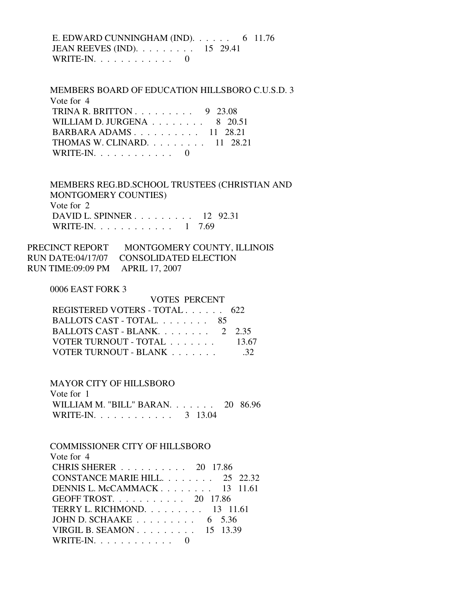E. EDWARD CUNNINGHAM (IND).  $\ldots$  . . . . 6 11.76 JEAN REEVES (IND). . . . . . . . . 15 29.41 WRITE-IN.  $\ldots$  . . . . . . . . . 0

 MEMBERS BOARD OF EDUCATION HILLSBORO C.U.S.D. 3 Vote for 4 TRINA R. BRITTON  $\ldots \ldots \ldots$  9 23.08 WILLIAM D. JURGENA . . . . . . . . 8 20.51 BARBARA ADAMS . . . . . . . . . . 11 28.21 THOMAS W. CLINARD. . . . . . . . . 11 28.21 WRITE-IN.  $\ldots$  . . . . . . . . . 0

 MEMBERS REG.BD.SCHOOL TRUSTEES (CHRISTIAN AND MONTGOMERY COUNTIES) Vote for 2 DAVID L. SPINNER . . . . . . . . . 12 92.31 WRITE-IN. . . . . . . . . . . . 1 7.69

PRECINCT REPORT MONTGOMERY COUNTY, ILLINOIS RUN DATE:04/17/07 CONSOLIDATED ELECTION RUN TIME:09:09 PM APRIL 17, 2007

#### 0006 EAST FORK 3

| <b>VOTES PERCENT</b>          |       |
|-------------------------------|-------|
| REGISTERED VOTERS - TOTAL 622 |       |
| BALLOTS CAST - TOTAL 85       |       |
| BALLOTS CAST - BLANK 2 2.35   |       |
| VOTER TURNOUT - TOTAL         | 13.67 |
| VOTER TURNOUT - BLANK         |       |

### MAYOR CITY OF HILLSBORO

 Vote for 1 WILLIAM M. "BILL" BARAN. . . . . . . 20 86.96 WRITE-IN. . . . . . . . . . . . 3 13.04

#### COMMISSIONER CITY OF HILLSBORO Vote for  $\Lambda$

| CHRIS SHERER 20 17.86                         |
|-----------------------------------------------|
| CONSTANCE MARIE HILL. 25 22.32                |
| DENNIS L. McCAMMACK 13 11.61                  |
| GEOFF TROST. $\ldots$ 20 17.86                |
| TERRY L. RICHMOND. $\ldots$ 13 11.61          |
| JOHN D. SCHAAKE $\ldots \ldots \ldots$ 6 5.36 |
| VIRGIL B. SEAMON $15$ 13.39                   |
|                                               |
|                                               |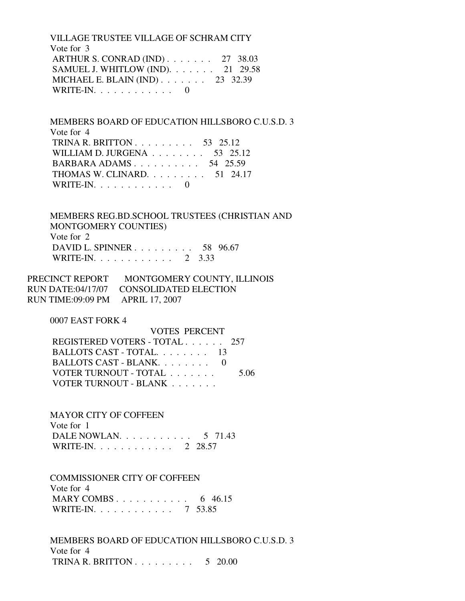VILLAGE TRUSTEE VILLAGE OF SCHRAM CITY Vote for 3 ARTHUR S. CONRAD (IND) . . . . . . . 27 38.03 SAMUEL J. WHITLOW (IND). . . . . . . 21 29.58 MICHAEL E. BLAIN (IND) . . . . . . . 23 32.39 WRITE-IN.  $\ldots$  . . . . . . . . . 0

 MEMBERS BOARD OF EDUCATION HILLSBORO C.U.S.D. 3 Vote for 4 TRINA R. BRITTON . . . . . . . . . 53 25.12 WILLIAM D. JURGENA . . . . . . . . 53 25.12 BARBARA ADAMS . . . . . . . . . . 54 25.59 THOMAS W. CLINARD. . . . . . . . . 51 24.17 WRITE-IN.  $\ldots$  . . . . . . . . . 0

 MEMBERS REG.BD.SCHOOL TRUSTEES (CHRISTIAN AND MONTGOMERY COUNTIES) Vote for 2 DAVID L. SPINNER . . . . . . . . . 58 96.67 WRITE-IN. . . . . . . . . . . . 2 3.33

PRECINCT REPORT MONTGOMERY COUNTY, ILLINOIS RUN DATE:04/17/07 CONSOLIDATED ELECTION RUN TIME:09:09 PM APRIL 17, 2007

0007 EAST FORK 4

 VOTES PERCENT REGISTERED VOTERS - TOTAL . . . . . . 257 BALLOTS CAST - TOTAL. . . . . . . . 13 BALLOTS CAST - BLANK. . . . . . . . 0 VOTER TURNOUT - TOTAL . . . . . . . 5.06 VOTER TURNOUT - BLANK . . . . . . .

MAYOR CITY OF COFFEEN

 Vote for 1 DALE NOWLAN. . . . . . . . . . . 5 71.43 WRITE-IN. . . . . . . . . . . . 2 28.57

 COMMISSIONER CITY OF COFFEEN Vote for 4 MARY COMBS . . . . . . . . . . . . 6 46.15 WRITE-IN. . . . . . . . . . . . 7 53.85

 MEMBERS BOARD OF EDUCATION HILLSBORO C.U.S.D. 3 Vote for 4 TRINA R. BRITTON . . . . . . . . . 5 20.00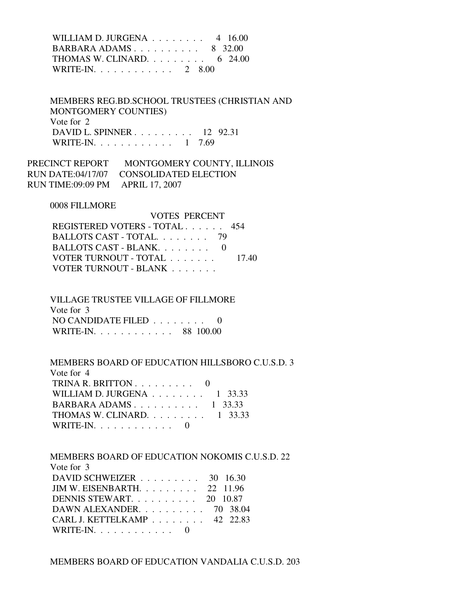WILLIAM D. JURGENA . . . . . . . . 4 16.00 BARBARA ADAMS . . . . . . . . . . 8 32.00 THOMAS W. CLINARD. . . . . . . . . 6 24.00 WRITE-IN. . . . . . . . . . . . 2 8.00

 MEMBERS REG.BD.SCHOOL TRUSTEES (CHRISTIAN AND MONTGOMERY COUNTIES) Vote for 2 DAVID L. SPINNER . . . . . . . . . 12 92.31 WRITE-IN. . . . . . . . . . . . 1 7.69

PRECINCT REPORT MONTGOMERY COUNTY, ILLINOIS RUN DATE:04/17/07 CONSOLIDATED ELECTION RUN TIME:09:09 PM APRIL 17, 2007

0008 FILLMORE

| REGISTERED VOTERS - TOTAL 454 |
|-------------------------------|
| BALLOTS CAST - TOTAL. 79      |
|                               |
| 17.40                         |
|                               |
| BALLOTS CAST - BLANK $0$      |

 VILLAGE TRUSTEE VILLAGE OF FILLMORE Vote for 3 NO CANDIDATE FILED . . . . . . . . 0 WRITE-IN. . . . . . . . . . . . 88 100.00

MEMBERS BOARD OF EDUCATION HILLSBORO C.U.S.D. 3

| Vote for 4                                       |  |
|--------------------------------------------------|--|
| TRINA R. BRITTON $\ldots$ , 0                    |  |
| WILLIAM D. JURGENA $\ldots$ , $\ldots$ , 1 33.33 |  |
| BARBARA ADAMS $1 \quad 33.33$                    |  |
| THOMAS W. CLINARD. $\ldots$ 1 33.33              |  |
| WRITE-IN. $\ldots$ 0                             |  |

 MEMBERS BOARD OF EDUCATION NOKOMIS C.U.S.D. 22 Vote for 3 DAVID SCHWEIZER . . . . . . . . . 30 16.30 JIM W. EISENBARTH. . . . . . . . . 22 11.96 DENNIS STEWART. . . . . . . . . . 20 10.87 DAWN ALEXANDER. . . . . . . . . . 70 38.04 CARL J. KETTELKAMP . . . . . . . . 42 22.83 WRITE-IN. . . . . . . . . . . . 0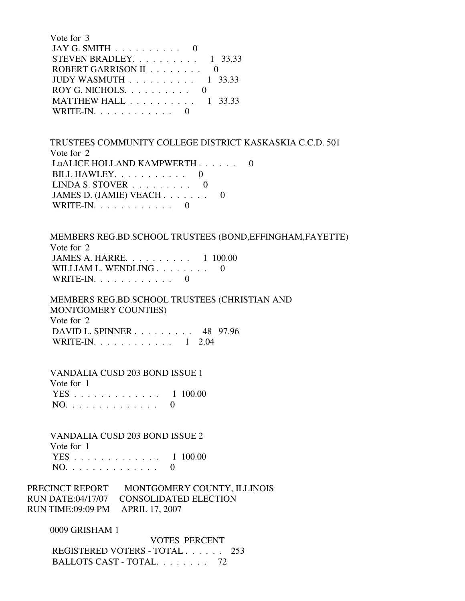| Vote for 3                                         |
|----------------------------------------------------|
| JAY G. SMITH $\ldots \ldots \ldots \ldots$         |
| STEVEN BRADLEY. $\ldots$ 1 33.33                   |
| ROBERT GARRISON II                                 |
| JUDY WASMUTH $\ldots$ ,  1 33.33                   |
|                                                    |
| MATTHEW HALL $\ldots \ldots \ldots \ldots 1$ 33.33 |
| $\text{WRITE-IN.} \ldots \ldots \ldots \ldots$     |

 TRUSTEES COMMUNITY COLLEGE DISTRICT KASKASKIA C.C.D. 501 Vote for 2 LuALICE HOLLAND KAMPWERTH . . . . . . 0 BILL HAWLEY.  $\ldots$  . . . . . . . 0 LINDA S. STOVER  $\ldots \ldots \ldots \ldots$ JAMES D. (JAMIE) VEACH . . . . . . . 0 WRITE-IN. . . . . . . . . . . . 0

 MEMBERS REG.BD.SCHOOL TRUSTEES (BOND,EFFINGHAM,FAYETTE) Vote for 2 JAMES A. HARRE. . . . . . . . . . 1 100.00 WILLIAM L. WENDLING . . . . . . . . 0 WRITE-IN.  $\ldots$  . . . . . . . . . 0

 MEMBERS REG.BD.SCHOOL TRUSTEES (CHRISTIAN AND MONTGOMERY COUNTIES) Vote for 2 DAVID L. SPINNER . . . . . . . . . 48 97.96 WRITE-IN. . . . . . . . . . . . . 1 2.04

 VANDALIA CUSD 203 BOND ISSUE 1 Vote for 1 YES . . . . . . . . . . . . . 1 100.00 NO. . . . . . . . . . . . . . 0

 VANDALIA CUSD 203 BOND ISSUE 2 Vote for 1 YES . . . . . . . . . . . . . 1 100.00 NO. . . . . . . . . . . . . . 0

PRECINCT REPORT MONTGOMERY COUNTY, ILLINOIS RUN DATE:04/17/07 CONSOLIDATED ELECTION RUN TIME:09:09 PM APRIL 17, 2007

0009 GRISHAM 1

 VOTES PERCENT REGISTERED VOTERS - TOTAL . . . . . . 253 BALLOTS CAST - TOTAL. . . . . . . . 72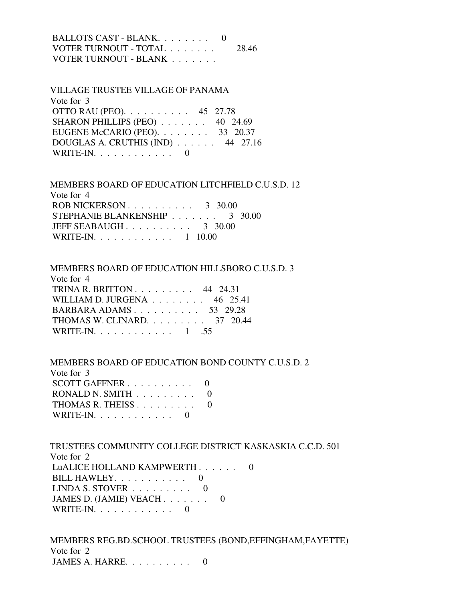| BALLOTS CAST - BLANK. 0 |        |
|-------------------------|--------|
| VOTER TURNOUT - TOTAL   | -28.46 |
| VOTER TURNOUT - BLANK   |        |

| <b>VILLAGE TRUSTEE VILLAGE OF PANAMA</b> |  |
|------------------------------------------|--|
| Vote for 3                               |  |
| OTTO RAU (PEO). $\ldots$ 45 27.78        |  |
| SHARON PHILLIPS (PEO) 40 24.69           |  |
| EUGENE McCARIO (PEO). $\ldots$ 33 20.37  |  |
| DOUGLAS A. CRUTHIS (IND) 44 27.16        |  |
| WRITE-IN. $\ldots$ 0                     |  |

 MEMBERS BOARD OF EDUCATION LITCHFIELD C.U.S.D. 12 Vote for 4 ROB NICKERSON . . . . . . . . . . 3 30.00 STEPHANIE BLANKENSHIP . . . . . . . 3 30.00 JEFF SEABAUGH  $\ldots$ , . . . . . . . . 3 30.00 WRITE-IN. . . . . . . . . . . . . 1 10.00

### MEMBERS BOARD OF EDUCATION HILLSBORO C.U.S.D. 3

| Vote for 4                                           |  |
|------------------------------------------------------|--|
| TRINA R. BRITTON $\ldots$ $\ldots$ $\ldots$ 44 24.31 |  |
| WILLIAM D. JURGENA $\ldots$ 46 25.41                 |  |
| BARBARA ADAMS 53 29.28                               |  |
| THOMAS W. CLINARD. $\ldots$ 37 20.44                 |  |
| WRITE-IN $1, 55$                                     |  |

#### MEMBERS BOARD OF EDUCATION BOND COUNTY C.U.S.D. 2

| Vote for 3                                  |  |
|---------------------------------------------|--|
| SCOTT GAFFNER $\ldots \ldots \ldots \ldots$ |  |
| RONALD N. SMITH $\ldots \ldots \ldots$ 0    |  |
| THOMAS R. THEISS                            |  |
| $WRITE-IN. \ldots \ldots \ldots$            |  |
|                                             |  |

 TRUSTEES COMMUNITY COLLEGE DISTRICT KASKASKIA C.C.D. 501 Vote for 2 LuALICE HOLLAND KAMPWERTH . . . . . . 0 BILL HAWLEY. . . . . . . . . . . 0 LINDA S. STOVER  $\ldots \ldots \ldots$  0 JAMES D. (JAMIE) VEACH . . . . . . . 0 WRITE-IN. . . . . . . . . . . . 0

 MEMBERS REG.BD.SCHOOL TRUSTEES (BOND,EFFINGHAM,FAYETTE) Vote for 2 JAMES A. HARRE. . . . . . . . . . 0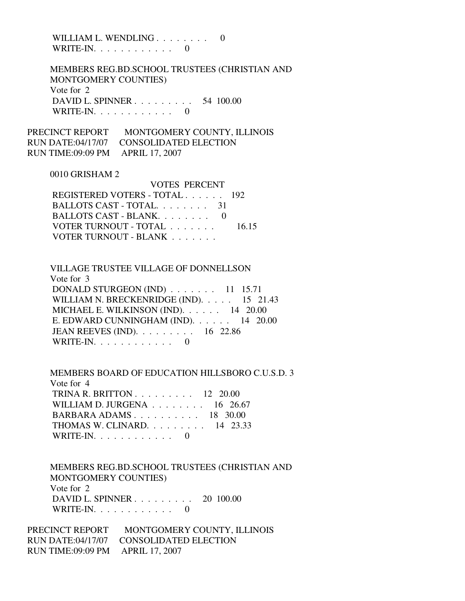WILLIAM L. WENDLING . . . . . . . . 0 WRITE-IN. . . . . . . . . . . . 0

 MEMBERS REG.BD.SCHOOL TRUSTEES (CHRISTIAN AND MONTGOMERY COUNTIES) Vote for 2 DAVID L. SPINNER . . . . . . . . . 54 100.00 WRITE-IN.  $\ldots$  . . . . . . . . . 0

VOTES PERCENT

PRECINCT REPORT MONTGOMERY COUNTY, ILLINOIS RUN DATE:04/17/07 CONSOLIDATED ELECTION RUN TIME:09:09 PM APRIL 17, 2007

#### 0010 GRISHAM 2

| VULES PERUENT                 |       |
|-------------------------------|-------|
| REGISTERED VOTERS - TOTAL 192 |       |
| BALLOTS CAST - TOTAL 31       |       |
| BALLOTS CAST - BLANK. 0       |       |
| VOTER TURNOUT - TOTAL         | 16.15 |
| VOTER TURNOUT - BLANK         |       |

 VILLAGE TRUSTEE VILLAGE OF DONNELLSON Vote for 3 DONALD STURGEON (IND) . . . . . . . 11 15.71 WILLIAM N. BRECKENRIDGE (IND). . . . . 15 21.43

 MICHAEL E. WILKINSON (IND). . . . . . 14 20.00 E. EDWARD CUNNINGHAM (IND). . . . . . 14 20.00 JEAN REEVES (IND). . . . . . . . . 16 22.86 WRITE-IN.  $\ldots$  . . . . . . . . . 0

 MEMBERS BOARD OF EDUCATION HILLSBORO C.U.S.D. 3 Vote for 4 TRINA R. BRITTON . . . . . . . . . 12 20.00 WILLIAM D. JURGENA . . . . . . . . . 16 26.67 BARBARA ADAMS . . . . . . . . . . 18 30.00 THOMAS W. CLINARD. . . . . . . . . 14 23.33 WRITE-IN. . . . . . . . . . . . 0

 MEMBERS REG.BD.SCHOOL TRUSTEES (CHRISTIAN AND MONTGOMERY COUNTIES) Vote for 2 DAVID L. SPINNER . . . . . . . . . 20 100.00 WRITE-IN.  $\ldots$  . . . . . . . . . 0

PRECINCT REPORT MONTGOMERY COUNTY, ILLINOIS RUN DATE:04/17/07 CONSOLIDATED ELECTION RUN TIME:09:09 PM APRIL 17, 2007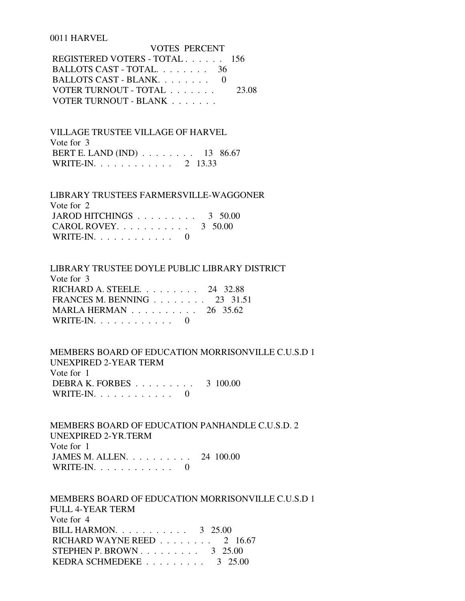#### 0011 HARVEL

| VOTES PERCENT                 |       |
|-------------------------------|-------|
| REGISTERED VOTERS - TOTAL 156 |       |
| BALLOTS CAST - TOTAL $36$     |       |
| BALLOTS CAST - BLANK          |       |
| VOTER TURNOUT - TOTAL         | 23.08 |
| VOTER TURNOUT - BLANK         |       |

 VILLAGE TRUSTEE VILLAGE OF HARVEL Vote for 3 BERT E. LAND (IND) . . . . . . . . 13 86.67 WRITE-IN. . . . . . . . . . . . 2 13.33

 LIBRARY TRUSTEES FARMERSVILLE-WAGGONER Vote for 2 JAROD HITCHINGS . . . . . . . . . 3 50.00 CAROL ROVEY. . . . . . . . . . . 3 50.00 WRITE-IN.  $\ldots$  . . . . . . . . . 0

 LIBRARY TRUSTEE DOYLE PUBLIC LIBRARY DISTRICT Vote for 3 RICHARD A. STEELE. . . . . . . . . 24 32.88 FRANCES M. BENNING . . . . . . . . 23 31.51 MARLA HERMAN . . . . . . . . . . 26 35.62 WRITE-IN.  $\ldots$  . . . . . . . . . 0

 MEMBERS BOARD OF EDUCATION MORRISONVILLE C.U.S.D 1 UNEXPIRED 2-YEAR TERM Vote for 1 DEBRA K. FORBES . . . . . . . . . 3 100.00 WRITE-IN.  $\ldots$  . . . . . . . . . 0

 MEMBERS BOARD OF EDUCATION PANHANDLE C.U.S.D. 2 UNEXPIRED 2-YR.TERM Vote for 1 JAMES M. ALLEN. . . . . . . . . . 24 100.00 WRITE-IN.  $\ldots$  . . . . . . . . . 0

 MEMBERS BOARD OF EDUCATION MORRISONVILLE C.U.S.D 1 FULL 4-YEAR TERM Vote for 4 BILL HARMON. . . . . . . . . . . 3 25.00 RICHARD WAYNE REED . . . . . . . . 2 16.67 STEPHEN P. BROWN . . . . . . . . . . 3 25.00 KEDRA SCHMEDEKE . . . . . . . . . . 3 25.00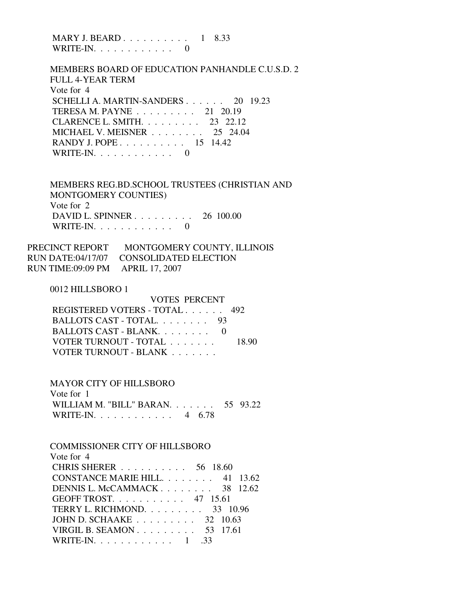MARY J. BEARD . . . . . . . . . . 1 8.33 WRITE-IN.  $\ldots$  . . . . . . . . . 0

 MEMBERS BOARD OF EDUCATION PANHANDLE C.U.S.D. 2 FULL 4-YEAR TERM Vote for 4 SCHELLI A. MARTIN-SANDERS . . . . . . 20 19.23 TERESA M. PAYNE . . . . . . . . . 21 20.19 CLARENCE L. SMITH. . . . . . . . . 23 22.12 MICHAEL V. MEISNER . . . . . . . . 25 24.04 RANDY J. POPE . . . . . . . . . . 15 14.42 WRITE-IN.  $\ldots$  . . . . . . . . . 0

 MEMBERS REG.BD.SCHOOL TRUSTEES (CHRISTIAN AND MONTGOMERY COUNTIES) Vote for 2 DAVID L. SPINNER . . . . . . . . . 26 100.00 WRITE-IN. . . . . . . . . . . . 0

PRECINCT REPORT MONTGOMERY COUNTY, ILLINOIS RUN DATE:04/17/07 CONSOLIDATED ELECTION RUN TIME:09:09 PM APRIL 17, 2007

#### 0012 HILLSBORO 1

| VOTES PERCENT                 |       |
|-------------------------------|-------|
| REGISTERED VOTERS - TOTAL 492 |       |
| BALLOTS CAST - TOTAL 93       |       |
| BALLOTS CAST - BLANK          |       |
| VOTER TURNOUT - TOTAL         | 18.90 |
| VOTER TURNOUT - BLANK         |       |

#### MAYOR CITY OF HILLSBORO

 Vote for 1 WILLIAM M. "BILL" BARAN. . . . . . . 55 93.22 WRITE-IN. . . . . . . . . . . . 4 6.78

#### COMMISSIONER CITY OF HILLSBORO Vote for  $\Lambda$

| $V \cup C \cup U \rightarrow$                          |
|--------------------------------------------------------|
| CHRIS SHERER 56 18.60                                  |
| CONSTANCE MARIE HILL. 41 13.62                         |
| DENNIS L. McCAMMACK 38 12.62                           |
| GEOFF TROST. $\ldots$ 47 15.61                         |
| TERRY L. RICHMOND. 33 10.96                            |
| JOHN D. SCHAAKE $\ldots \ldots \ldots \ldots$ 32 10.63 |
| VIRGIL B. SEAMON $53$ 17.61                            |
| WRITE-IN. 1 .33                                        |
|                                                        |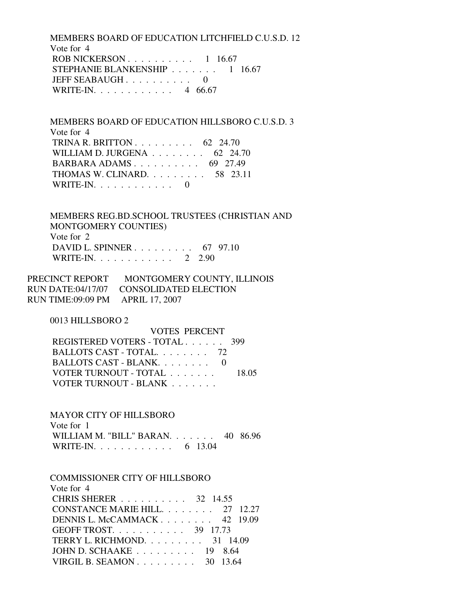MEMBERS BOARD OF EDUCATION LITCHFIELD C.U.S.D. 12 Vote for 4 ROB NICKERSON . . . . . . . . . . 1 16.67 STEPHANIE BLANKENSHIP . . . . . . . 1 16.67 JEFF SEABAUGH . . . . . . . . . 0 WRITE-IN. . . . . . . . . . . . 4 66.67

 MEMBERS BOARD OF EDUCATION HILLSBORO C.U.S.D. 3 Vote for 4 TRINA R. BRITTON  $\ldots$  . . . . . . . . 62 24.70 WILLIAM D. JURGENA . . . . . . . . 62 24.70 BARBARA ADAMS . . . . . . . . . . 69 27.49 THOMAS W. CLINARD. . . . . . . . . 58 23.11 WRITE-IN. . . . . . . . . . . . 0

 MEMBERS REG.BD.SCHOOL TRUSTEES (CHRISTIAN AND MONTGOMERY COUNTIES) Vote for 2 DAVID L. SPINNER . . . . . . . . . 67 97.10 WRITE-IN. . . . . . . . . . . . 2 2.90

PRECINCT REPORT MONTGOMERY COUNTY, ILLINOIS RUN DATE:04/17/07 CONSOLIDATED ELECTION RUN TIME:09:09 PM APRIL 17, 2007

0013 HILLSBORO 2

 VOTES PERCENT REGISTERED VOTERS - TOTAL . . . . . . 399 BALLOTS CAST - TOTAL. . . . . . . . 72 BALLOTS CAST - BLANK. . . . . . . . 0 VOTER TURNOUT - TOTAL . . . . . . . 18.05 VOTER TURNOUT - BLANK . . . . . . .

MAYOR CITY OF HILLSBORO

 Vote for 1 WILLIAM M. "BILL" BARAN. . . . . . . 40 86.96 WRITE-IN. . . . . . . . . . . . . 6 13.04

 COMMISSIONER CITY OF HILLSBORO Vote for 4 CHRIS SHERER . . . . . . . . . . 32 14.55 CONSTANCE MARIE HILL. . . . . . . . 27 12.27 DENNIS L. McCAMMACK . . . . . . . . 42 19.09 GEOFF TROST. . . . . . . . . . . 39 17.73 TERRY L. RICHMOND. . . . . . . . . 31 14.09 JOHN D. SCHAAKE . . . . . . . . . 19 8.64 VIRGIL B. SEAMON . . . . . . . . . 30 13.64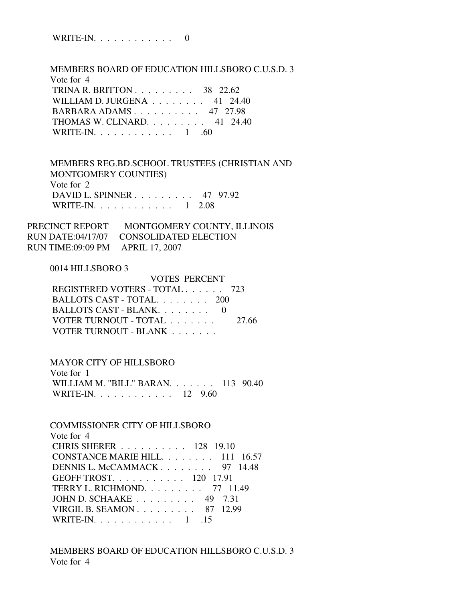WRITE-IN. . . . . . . . . . . . 0

MEMBERS BOARD OF EDUCATION HILLSBORO C.U.S.D. 3

| Vote for 4                                       |  |
|--------------------------------------------------|--|
| TRINA R. BRITTON $\ldots \ldots \ldots$ 38 22.62 |  |
| WILLIAM D. JURGENA $\ldots$ 41 24.40             |  |
| BARBARA ADAMS 47 27.98                           |  |
| THOMAS W. CLINARD. $\ldots$ 41 24.40             |  |
| WRITE-IN. $\ldots$ 1 .60                         |  |

 MEMBERS REG.BD.SCHOOL TRUSTEES (CHRISTIAN AND MONTGOMERY COUNTIES) Vote for 2 DAVID L. SPINNER . . . . . . . . . 47 97.92 WRITE-IN. . . . . . . . . . . . 1 2.08

PRECINCT REPORT MONTGOMERY COUNTY, ILLINOIS RUN DATE:04/17/07 CONSOLIDATED ELECTION RUN TIME:09:09 PM APRIL 17, 2007

#### 0014 HILLSBORO 3

| REGISTERED VOTERS - TOTAL 723 |
|-------------------------------|
|                               |
|                               |
| 27.66                         |
|                               |
|                               |

## MAYOR CITY OF HILLSBORO

| Vote for 1                          |  |
|-------------------------------------|--|
| WILLIAM M. "BILL" BARAN $113$ 90.40 |  |
| WRITE-IN. 12 $9.60$                 |  |

# COMMISSIONER CITY OF HILLSBORO Vote for 4 CHRIS SHERER . . . . . . . . . . 128 19.10 CONSTANCE MARIE HILL. . . . . . . . 111 16.57 DENNIS L. McCAMMACK . . . . . . . . 97 14.48 GEOFF TROST. . . . . . . . . . . 120 17.91 TERRY L. RICHMOND. . . . . . . . . 77 11.49 JOHN D. SCHAAKE . . . . . . . . . 49 7.31 VIRGIL B. SEAMON . . . . . . . . . 87 12.99 WRITE-IN. . . . . . . . . . . . 1 .15

# MEMBERS BOARD OF EDUCATION HILLSBORO C.U.S.D. 3 Vote for 4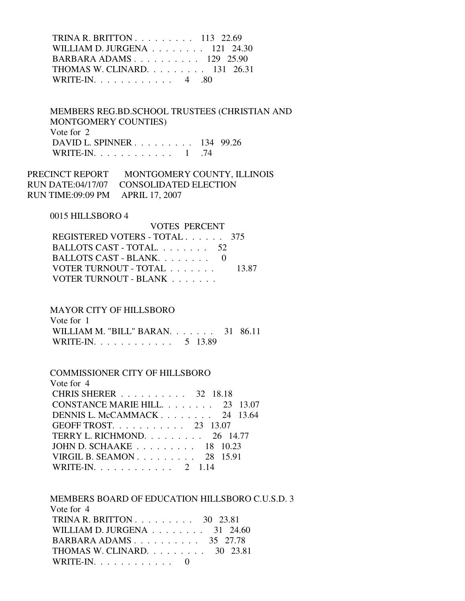TRINA R. BRITTON . . . . . . . . . 113 22.69 WILLIAM D. JURGENA . . . . . . . . 121 24.30 BARBARA ADAMS . . . . . . . . . . 129 25.90 THOMAS W. CLINARD. . . . . . . . . 131 26.31 WRITE-IN. . . . . . . . . . . . 4 .80

 MEMBERS REG.BD.SCHOOL TRUSTEES (CHRISTIAN AND MONTGOMERY COUNTIES) Vote for 2 DAVID L. SPINNER . . . . . . . . . 134 99.26 WRITE-IN. . . . . . . . . . . . 1 .74

PRECINCT REPORT MONTGOMERY COUNTY, ILLINOIS RUN DATE:04/17/07 CONSOLIDATED ELECTION RUN TIME:09:09 PM APRIL 17, 2007

#### 0015 HILLSBORO 4

| <b>VOTES PERCENT</b>          |       |
|-------------------------------|-------|
| REGISTERED VOTERS - TOTAL 375 |       |
| BALLOTS CAST - TOTAL 52       |       |
| BALLOTS CAST - BLANK $0$      |       |
| VOTER TURNOUT - TOTAL         | 13.87 |
| VOTER TURNOUT - BLANK         |       |

## MAYOR CITY OF HILLSBORO

| Vote for 1                          |  |
|-------------------------------------|--|
| WILLIAM M. "BILL" BARAN. 31 $86.11$ |  |
| WRITE-IN. 5 13.89                   |  |

#### COMMISSIONER CITY OF HILLSBORO Vote for  $\Lambda$

| $V$ one for $4$                                           |
|-----------------------------------------------------------|
| CHRIS SHERER 32 18.18                                     |
| CONSTANCE MARIE HILL. 23 13.07                            |
| DENNIS L. McCAMMACK 24 $13.64$                            |
| GEOFF TROST. $\ldots$ $\ldots$ $\ldots$ $\ldots$ 23 13.07 |
| TERRY L. RICHMOND. $\ldots$ 26 14.77                      |
| JOHN D. SCHAAKE $\ldots$ , 18 10.23                       |
| VIRGIL B. SEAMON $28$ 15.91                               |
| WRITE-IN. 2 1.14                                          |

 MEMBERS BOARD OF EDUCATION HILLSBORO C.U.S.D. 3 Vote for 4 TRINA R. BRITTON . . . . . . . . . 30 23.81 WILLIAM D. JURGENA . . . . . . . . 31 24.60 BARBARA ADAMS . . . . . . . . . . 35 27.78 THOMAS W. CLINARD. . . . . . . . . 30 23.81 WRITE-IN.  $\ldots$  . . . . . . . . . 0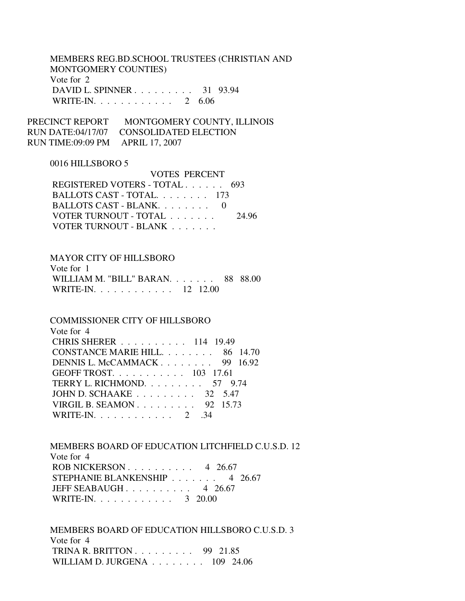# MEMBERS REG.BD.SCHOOL TRUSTEES (CHRISTIAN AND MONTGOMERY COUNTIES) Vote for 2 DAVID L. SPINNER . . . . . . . . . 31 93.94 WRITE-IN. . . . . . . . . . . . 2 6.06

VOTES PERCENT

PRECINCT REPORT MONTGOMERY COUNTY, ILLINOIS RUN DATE:04/17/07 CONSOLIDATED ELECTION RUN TIME:09:09 PM APRIL 17, 2007

## 0016 HILLSBORO 5

| VOLES PERCENT                 |       |
|-------------------------------|-------|
| REGISTERED VOTERS - TOTAL 693 |       |
| BALLOTS CAST - TOTAL. 173     |       |
| BALLOTS CAST - BLANK. 0       |       |
| VOTER TURNOUT - TOTAL         | 24.96 |
| VOTER TURNOUT - BLANK         |       |
|                               |       |

#### MAYOR CITY OF HILLSBORO

| Vote for 1                          |  |
|-------------------------------------|--|
| WILLIAM M. "BILL" BARAN. 88 $88.00$ |  |
| WRITE-IN 12 12.00                   |  |

#### COMMISSIONER CITY OF HILLSBORO

| Vote for 4                                            |
|-------------------------------------------------------|
| CHRIS SHERER 114 19.49                                |
| CONSTANCE MARIE HILL. 86 14.70                        |
| DENNIS L. McCAMMACK 99 $16.92$                        |
| GEOFF TROST. 103 17.61                                |
| TERRY L. RICHMOND. $\ldots$ 57 9.74                   |
| JOHN D. SCHAAKE $\ldots \ldots \ldots \ldots$ 32 5.47 |
| VIRGIL B. SEAMON 92 15.73                             |
| WRITE-IN. 2 .34                                       |

# MEMBERS BOARD OF EDUCATION LITCHFIELD C.U.S.D. 12 Vote for 4 ROB NICKERSON . . . . . . . . . . 4 26.67 STEPHANIE BLANKENSHIP . . . . . . . 4 26.67 JEFF SEABAUGH . . . . . . . . . . 4 26.67 WRITE-IN. . . . . . . . . . . . 3 20.00

 MEMBERS BOARD OF EDUCATION HILLSBORO C.U.S.D. 3 Vote for 4 TRINA R. BRITTON . . . . . . . . . 99 21.85 WILLIAM D. JURGENA . . . . . . . . 109 24.06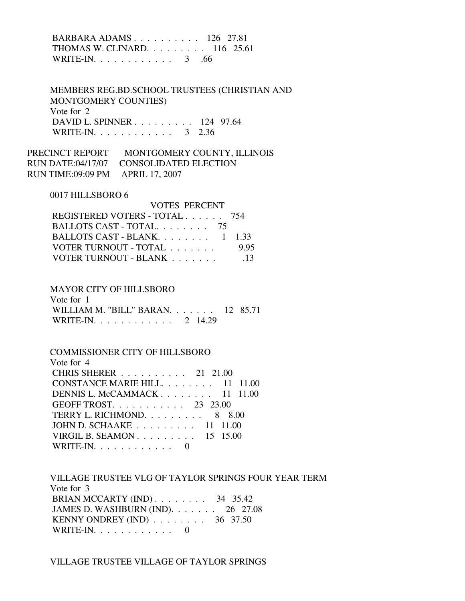# BARBARA ADAMS . . . . . . . . . . 126 27.81 THOMAS W. CLINARD. . . . . . . . . 116 25.61 WRITE-IN. . . . . . . . . . . . . 3 .66

 MEMBERS REG.BD.SCHOOL TRUSTEES (CHRISTIAN AND MONTGOMERY COUNTIES) Vote for 2 DAVID L. SPINNER . . . . . . . . . 124 97.64 WRITE-IN. . . . . . . . . . . . . 3 2.36

PRECINCT REPORT MONTGOMERY COUNTY, ILLINOIS RUN DATE:04/17/07 CONSOLIDATED ELECTION RUN TIME:09:09 PM APRIL 17, 2007

#### 0017 HILLSBORO 6

| <b>VOTES PERCENT</b>                |                 |
|-------------------------------------|-----------------|
| REGISTERED VOTERS - TOTAL 754       |                 |
| BALLOTS CAST - TOTAL. 75            |                 |
| BALLOTS CAST - BLANK $1 \quad 1.33$ |                 |
| VOTER TURNOUT - TOTAL               | 995             |
| VOTER TURNOUT - BLANK               | $\overline{13}$ |

## MAYOR CITY OF HILLSBORO

| Vote for 1                        |  |
|-----------------------------------|--|
| WILLIAM M. "BILL" BARAN. 12 85.71 |  |
| WRITE-IN. 2 14.29                 |  |

# COMMISSIONER CITY OF HILLSBORO

| Vote for 4                                                |
|-----------------------------------------------------------|
| CHRIS SHERER 21 21.00                                     |
| CONSTANCE MARIE HILL. 11 11.00                            |
| DENNIS L. McCAMMACK $11$ 11.00                            |
| GEOFF TROST. $\ldots$ $\ldots$ $\ldots$ $\ldots$ 23 23.00 |
| TERRY L. RICHMOND. 8 8.00                                 |
| JOHN D. SCHAAKE $\ldots \ldots \ldots 11$ 11.00           |
| VIRGIL B. SEAMON $15$ 15.00                               |
| WRITE-IN. $\ldots$                                        |

 VILLAGE TRUSTEE VLG OF TAYLOR SPRINGS FOUR YEAR TERM Vote for 3 BRIAN MCCARTY (IND) . . . . . . . . 34 35.42 JAMES D. WASHBURN (IND). . . . . . . 26 27.08 KENNY ONDREY (IND) . . . . . . . . 36 37.50 WRITE-IN. . . . . . . . . . . . 0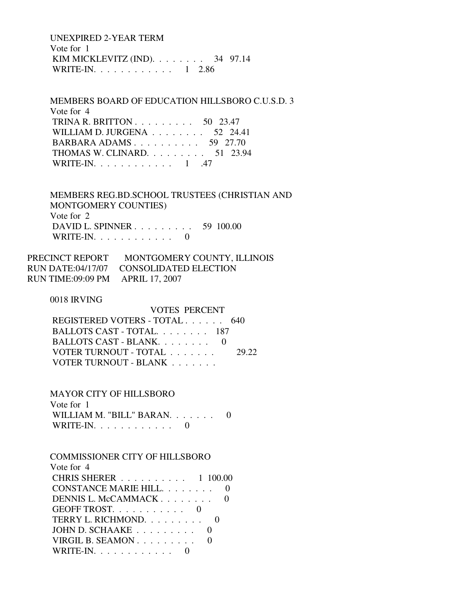UNEXPIRED 2-YEAR TERM Vote for 1 KIM MICKLEVITZ (IND). . . . . . . . 34 97.14 WRITE-IN. . . . . . . . . . . . 1 2.86

 MEMBERS BOARD OF EDUCATION HILLSBORO C.U.S.D. 3 Vote for 4 TRINA R. BRITTON . . . . . . . . . 50 23.47 WILLIAM D. JURGENA . . . . . . . . 52 24.41 BARBARA ADAMS . . . . . . . . . . . 59 27.70 THOMAS W. CLINARD. . . . . . . . . 51 23.94 WRITE-IN. . . . . . . . . . . . . 1 .47

 MEMBERS REG.BD.SCHOOL TRUSTEES (CHRISTIAN AND MONTGOMERY COUNTIES) Vote for 2 DAVID L. SPINNER . . . . . . . . . 59 100.00 WRITE-IN.  $\ldots$  . . . . . . . . . 0

| PRECINCT REPORT                  | MONTGOMERY COUNTY, ILLINOIS             |
|----------------------------------|-----------------------------------------|
|                                  | RUN DATE:04/17/07 CONSOLIDATED ELECTION |
| RUN TIME:09:09 PM APRIL 17, 2007 |                                         |

0018 IRVING

VOTES PERCENT

| REGISTERED VOTERS - TOTAL 640 |       |
|-------------------------------|-------|
| BALLOTS CAST - TOTAL $187$    |       |
| BALLOTS CAST - BLANK. 0       |       |
| VOTER TURNOUT - TOTAL         | 29.22 |
| VOTER TURNOUT - BLANK         |       |

MAYOR CITY OF HILLSBORO

| Vote for 1                 |  |
|----------------------------|--|
| WILLIAM M. "BILL" BARAN. 0 |  |
| WRITE-IN. $\ldots$ 0       |  |

| <b>COMMISSIONER CITY OF HILLSBORO</b> |
|---------------------------------------|
| Vote for 4                            |
| CHRIS SHERER 1 100.00                 |
| CONSTANCE MARIE HILL.                 |
| DENNIS L. McCAMMACK                   |
| GEOFF TROST.                          |
| TERRY L. RICHMOND.                    |
| JOHN D. SCHAAKE                       |
| VIRGIL B. SEAMON                      |
| $RITE-IN. \ldots \ldots \ldots$       |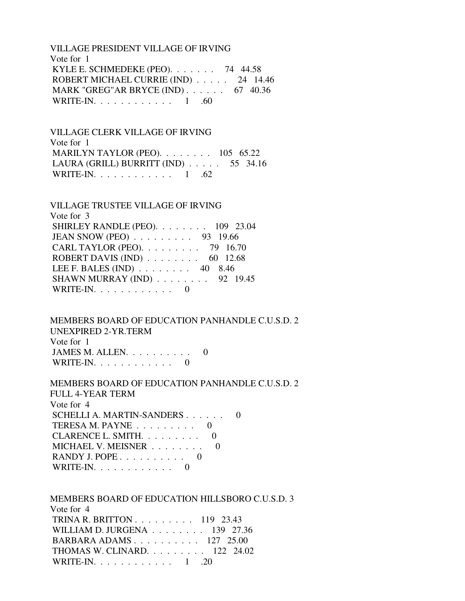VILLAGE PRESIDENT VILLAGE OF IRVING Vote for 1 KYLE E. SCHMEDEKE (PEO). . . . . . . 74 44.58 ROBERT MICHAEL CURRIE (IND) . . . . . 24 14.46 MARK "GREG"AR BRYCE (IND) . . . . . . 67 40.36 WRITE-IN. . . . . . . . . . . . 1 .60

 VILLAGE CLERK VILLAGE OF IRVING Vote for 1 MARILYN TAYLOR (PEO). . . . . . . . 105 65.22 LAURA (GRILL) BURRITT (IND) . . . . . 55 34.16 WRITE-IN. . . . . . . . . . . . . 1 .62

| <b>VILLAGE TRUSTEE VILLAGE OF IRVING</b>           |  |
|----------------------------------------------------|--|
| Vote for 3                                         |  |
| SHIRLEY RANDLE (PEO). 109 23.04                    |  |
| JEAN SNOW (PEO) 93 19.66                           |  |
| CARL TAYLOR (PEO). 79 16.70                        |  |
| ROBERT DAVIS (IND) $\ldots \ldots \ldots$ 60 12.68 |  |
| LEE F. BALES (IND) $\ldots$ 40 8.46                |  |
| SHAWN MURRAY (IND) 92 19.45                        |  |
| WRITE-IN. $\ldots$ 0                               |  |

 MEMBERS BOARD OF EDUCATION PANHANDLE C.U.S.D. 2 UNEXPIRED 2-YR.TERM Vote for 1 JAMES M. ALLEN.  $\ldots$  . . . . . . . 0

WRITE-IN.  $\ldots$  . . . . . . . . 0

 MEMBERS BOARD OF EDUCATION PANHANDLE C.U.S.D. 2 FULL 4-YEAR TERM Vote for 4 SCHELLI A. MARTIN-SANDERS . . . . . . 0 TERESA M. PAYNE . . . . . . . . . 0

CLARENCE L. SMITH. . . . . . . . . 0 MICHAEL V. MEISNER . . . . . . . . 0 RANDY J. POPE . . . . . . . . . . 0 WRITE-IN. . . . . . . . . . . . 0

 MEMBERS BOARD OF EDUCATION HILLSBORO C.U.S.D. 3 Vote for 4 TRINA R. BRITTON . . . . . . . . . 119 23.43 WILLIAM D. JURGENA . . . . . . . . 139 27.36 BARBARA ADAMS . . . . . . . . . . 127 25.00 THOMAS W. CLINARD. . . . . . . . . 122 24.02 WRITE-IN. . . . . . . . . . . . . 1 .20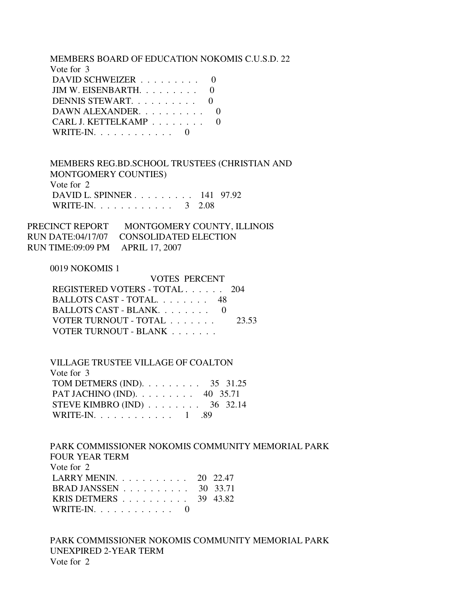#### MEMBERS BOARD OF EDUCATION NOKOMIS C.U.S.D. 22

| Vote for 3                       |  |
|----------------------------------|--|
| DAVID SCHWEIZER                  |  |
| JIM W. EISENBARTH. $\ldots$ 0    |  |
| DENNIS STEWART. 0                |  |
| DAWN ALEXANDER.                  |  |
| CARL J. KETTELKAMP               |  |
| $WRITE-IN. \ldots \ldots \ldots$ |  |

 MEMBERS REG.BD.SCHOOL TRUSTEES (CHRISTIAN AND MONTGOMERY COUNTIES) Vote for 2 DAVID L. SPINNER . . . . . . . . . 141 97.92 WRITE-IN. . . . . . . . . . . . 3 2.08

PRECINCT REPORT MONTGOMERY COUNTY, ILLINOIS RUN DATE:04/17/07 CONSOLIDATED ELECTION RUN TIME:09:09 PM APRIL 17, 2007

#### 0019 NOKOMIS 1

| REGISTERED VOTERS - TOTAL 204 |
|-------------------------------|
| BALLOTS CAST - TOTAL 48       |
| BALLOTS CAST - BLANK. 0       |
| 23.53                         |
|                               |
|                               |

 VILLAGE TRUSTEE VILLAGE OF COALTON Vote for 3 TOM DETMERS (IND). . . . . . . . . . 35 31.25 PAT JACHINO (IND). . . . . . . . . 40 35.71 STEVE KIMBRO (IND) . . . . . . . . 36 32.14 WRITE-IN. . . . . . . . . . . . . 1 .89

 PARK COMMISSIONER NOKOMIS COMMUNITY MEMORIAL PARK FOUR YEAR TERM Vote for 2 LARRY MENIN. . . . . . . . . . . 20 22.47 BRAD JANSSEN . . . . . . . . . . 30 33.71 KRIS DETMERS . . . . . . . . . . 39 43.82 WRITE-IN. . . . . . . . . . . . 0

 PARK COMMISSIONER NOKOMIS COMMUNITY MEMORIAL PARK UNEXPIRED 2-YEAR TERM Vote for 2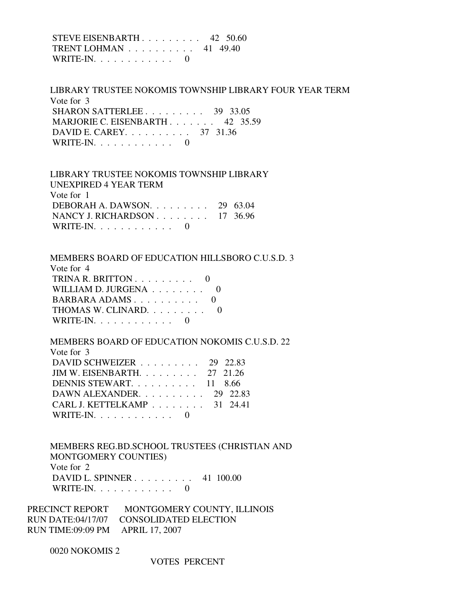STEVE EISENBARTH . . . . . . . . . 42 50.60 TRENT LOHMAN . . . . . . . . . . 41 49.40 WRITE-IN.  $\ldots$  . . . . . . . . . 0

 LIBRARY TRUSTEE NOKOMIS TOWNSHIP LIBRARY FOUR YEAR TERM Vote for 3 SHARON SATTERLEE . . . . . . . . . . 39 33.05 MARJORIE C. EISENBARTH . . . . . . . 42 35.59 DAVID E. CAREY. . . . . . . . . . 37 31.36 WRITE-IN.  $\ldots$  . . . . . . . . 0

 LIBRARY TRUSTEE NOKOMIS TOWNSHIP LIBRARY UNEXPIRED 4 YEAR TERM Vote for 1 DEBORAH A. DAWSON. . . . . . . . . 29 63.04 NANCY J. RICHARDSON . . . . . . . . 17 36.96 WRITE-IN.  $\ldots$  . . . . . . . . 0

MEMBERS BOARD OF EDUCATION HILLSBORO C.U.S.D. 3

| Vote for 4                                     |  |
|------------------------------------------------|--|
| TRINA R. BRITTON $\ldots \ldots \ldots \ldots$ |  |
| WILLIAM D. JURGENA 0                           |  |
| BARBARA ADAMS 0                                |  |
| THOMAS W. CLINARD. 0                           |  |
| WRITE-IN. $\ldots$ , $\ldots$ , $\ldots$ , 0   |  |
|                                                |  |

 MEMBERS BOARD OF EDUCATION NOKOMIS C.U.S.D. 22 Vote for 3 DAVID SCHWEIZER . . . . . . . . . 29 22.83 JIM W. EISENBARTH. . . . . . . . . 27 21.26 DENNIS STEWART. . . . . . . . . . 11 8.66 DAWN ALEXANDER. . . . . . . . . . 29 22.83 CARL J. KETTELKAMP . . . . . . . . 31 24.41 WRITE-IN. . . . . . . . . . . . . . . 0

 MEMBERS REG.BD.SCHOOL TRUSTEES (CHRISTIAN AND MONTGOMERY COUNTIES) Vote for 2 DAVID L. SPINNER . . . . . . . . . 41 100.00 WRITE-IN.  $\ldots$  . . . . . . . . . 0

PRECINCT REPORT MONTGOMERY COUNTY, ILLINOIS RUN DATE:04/17/07 CONSOLIDATED ELECTION RUN TIME:09:09 PM APRIL 17, 2007

0020 NOKOMIS 2

VOTES PERCENT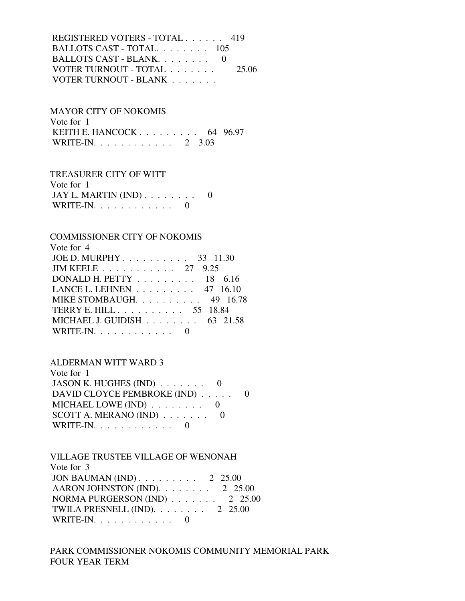REGISTERED VOTERS - TOTAL . . . . . . 419 BALLOTS CAST - TOTAL. . . . . . . . 105 BALLOTS CAST - BLANK. . . . . . . . 0 VOTER TURNOUT - TOTAL . . . . . . . 25.06 VOTER TURNOUT - BLANK . . . . . . .

MAYOR CITY OF NOKOMIS

 Vote for 1 KEITH E. HANCOCK . . . . . . . . . . 64 96.97 WRITE-IN. . . . . . . . . . . . 2 3.03

TREASURER CITY OF WITT

| Vote for 1            |  |
|-----------------------|--|
| JAY L. MARTIN $(IND)$ |  |
| WRITE-IN. $\ldots$    |  |

## COMMISSIONER CITY OF NOKOMIS

| Vote for 4                                            |
|-------------------------------------------------------|
| JOE D. MURPHY 33 11.30                                |
| JIM KEELE 27 9.25                                     |
| DONALD H. PETTY $\ldots \ldots \ldots \ldots$ 18 6.16 |
| LANCE L. LEHNEN $\ldots \ldots \ldots$ 47 16.10       |
| MIKE STOMBAUGH. $\ldots$ 49 16.78                     |
| TERRY E. HILL 55 18.84                                |
| MICHAEL J. GUIDISH $\ldots \ldots \ldots$ 63 21.58    |
| WRITE-IN. $\ldots$                                    |
|                                                       |

## ALDERMAN WITT WARD 3

| Vote for $1$                                 |  |
|----------------------------------------------|--|
| JASON K. HUGHES (IND) $\ldots \ldots \ldots$ |  |
| DAVID CLOYCE PEMBROKE (IND)                  |  |
| MICHAEL LOWE (IND) $\ldots \ldots \ldots$ 0  |  |
| SCOTT A. MERANO (IND) $\ldots \ldots \ldots$ |  |
| WRITE-IN. $\ldots \ldots \ldots$             |  |

 VILLAGE TRUSTEE VILLAGE OF WENONAH Vote for 3 JON BAUMAN (IND) . . . . . . . . . 2 25.00  $AARON$  JOHNSTON (IND).  $\ldots$  . . . . . . 2 25.00 NORMA PURGERSON (IND) . . . . . . . 2 25.00 TWILA PRESNELL (IND). . . . . . . . 2 25.00 WRITE-IN.  $\ldots$  . . . . . . . . . 0

# PARK COMMISSIONER NOKOMIS COMMUNITY MEMORIAL PARK FOUR YEAR TERM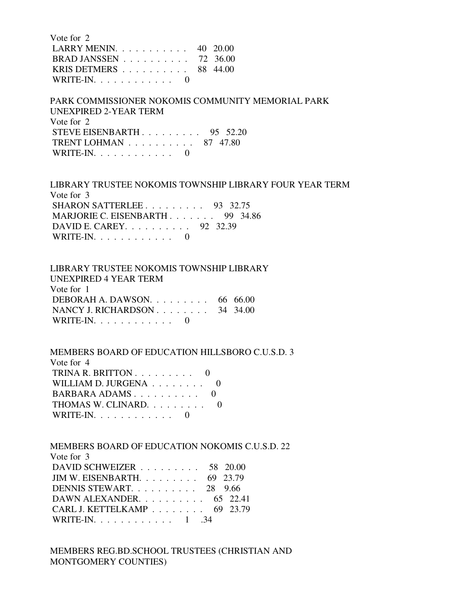| Vote for 2                                          |  |
|-----------------------------------------------------|--|
| LARRY MENIN. $\ldots$ 40 20.00                      |  |
| BRAD JANSSEN $\ldots$ 72 36.00                      |  |
| KRIS DETMERS $\ldots \ldots \ldots \ldots$ 88 44.00 |  |
| WRITE-IN. $\ldots$ 0                                |  |

 PARK COMMISSIONER NOKOMIS COMMUNITY MEMORIAL PARK UNEXPIRED 2-YEAR TERM Vote for 2 STEVE EISENBARTH . . . . . . . . . 95 52.20 TRENT LOHMAN . . . . . . . . . . 87 47.80 WRITE-IN.  $\ldots$  . . . . . . . . . 0

 LIBRARY TRUSTEE NOKOMIS TOWNSHIP LIBRARY FOUR YEAR TERM Vote for 3 SHARON SATTERLEE . . . . . . . . . 93 32.75 MARJORIE C. EISENBARTH . . . . . . . 99 34.86 DAVID E. CAREY. . . . . . . . . . 92 32.39 WRITE-IN.  $\ldots$  . . . . . . . . . 0

 LIBRARY TRUSTEE NOKOMIS TOWNSHIP LIBRARY UNEXPIRED 4 YEAR TERM Vote for 1 DEBORAH A. DAWSON. . . . . . . . . 66 66.00 NANCY J. RICHARDSON . . . . . . . . 34 34.00 WRITE-IN. . . . . . . . . . . . 0

 MEMBERS BOARD OF EDUCATION HILLSBORO C.U.S.D. 3 Vote for 4 TRINA R. BRITTON  $\ldots$  . . . . . . . 0 WILLIAM D. JURGENA . . . . . . . . 0 BARBARA ADAMS . . . . . . . . . . 0 THOMAS W. CLINARD. . . . . . . . . 0 WRITE-IN. . . . . . . . . . . . . . . 0

 MEMBERS BOARD OF EDUCATION NOKOMIS C.U.S.D. 22 Vote for 3 DAVID SCHWEIZER . . . . . . . . . 58 20.00 JIM W. EISENBARTH. . . . . . . . . 69 23.79 DENNIS STEWART. . . . . . . . . . 28 9.66 DAWN ALEXANDER. . . . . . . . . . 65 22.41 CARL J. KETTELKAMP . . . . . . . . 69 23.79 WRITE-IN. . . . . . . . . . . . 1 .34

 MEMBERS REG.BD.SCHOOL TRUSTEES (CHRISTIAN AND MONTGOMERY COUNTIES)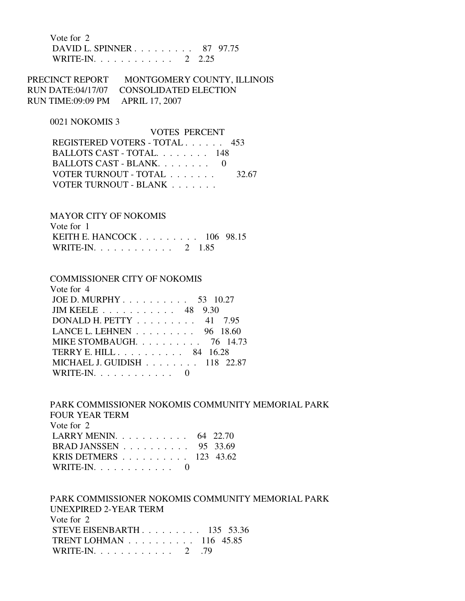Vote for 2 DAVID L. SPINNER . . . . . . . . . 87 97.75 WRITE-IN. . . . . . . . . . . . 2 2.25

PRECINCT REPORT MONTGOMERY COUNTY, ILLINOIS RUN DATE:04/17/07 CONSOLIDATED ELECTION RUN TIME:09:09 PM APRIL 17, 2007

#### 0021 NOKOMIS 3

 VOTES PERCENT REGISTERED VOTERS - TOTAL . . . . . . 453 BALLOTS CAST - TOTAL. . . . . . . . 148 BALLOTS CAST - BLANK. . . . . . . . 0 VOTER TURNOUT - TOTAL . . . . . . . . 32.67 VOTER TURNOUT - BLANK . . . . . . .

 MAYOR CITY OF NOKOMIS Vote for 1 KEITH E. HANCOCK . . . . . . . . . 106 98.15 WRITE-IN. . . . . . . . . . . . 2 1.85

#### COMMISSIONER CITY OF NOKOMIS

| Vote for 4                                              |
|---------------------------------------------------------|
| JOE D. MURPHY 53 10.27                                  |
| JIM KEELE 48 9.30                                       |
| DONALD H. PETTY $\ldots \ldots \ldots$ 41 7.95          |
| LANCE L. LEHNEN $\ldots \ldots \ldots$ 96 18.60         |
| MIKE STOMBAUGH. $\ldots$ 76 14.73                       |
| TERRY E. HILL $\ldots$ , $\ldots$ , 84 16.28            |
| MICHAEL J. GUIDISH $\ldots$ $\ldots$ $\ldots$ 118 22.87 |
| WRITE-IN. $\ldots$                                      |

 PARK COMMISSIONER NOKOMIS COMMUNITY MEMORIAL PARK FOUR YEAR TERM Vote for 2 LARRY MENIN. . . . . . . . . . . 64 22.70 BRAD JANSSEN . . . . . . . . . . 95 33.69 KRIS DETMERS . . . . . . . . . . 123 43.62 WRITE-IN.  $\ldots$  . . . . . . . . . 0

 PARK COMMISSIONER NOKOMIS COMMUNITY MEMORIAL PARK UNEXPIRED 2-YEAR TERM Vote for 2 STEVE EISENBARTH . . . . . . . . . 135 53.36 TRENT LOHMAN . . . . . . . . . . 116 45.85 WRITE-IN. . . . . . . . . . . . 2 .79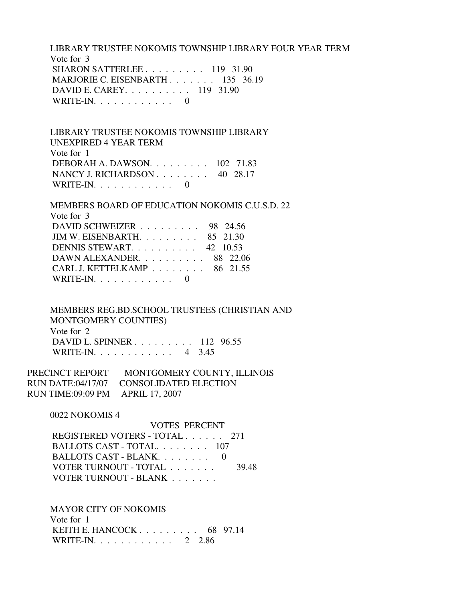LIBRARY TRUSTEE NOKOMIS TOWNSHIP LIBRARY FOUR YEAR TERM Vote for 3 SHARON SATTERLEE . . . . . . . . . 119 31.90 MARJORIE C. EISENBARTH . . . . . . . 135 36.19 DAVID E. CAREY. . . . . . . . . . 119 31.90 WRITE-IN. . . . . . . . . . . . 0

 LIBRARY TRUSTEE NOKOMIS TOWNSHIP LIBRARY UNEXPIRED 4 YEAR TERM Vote for 1 DEBORAH A. DAWSON. . . . . . . . . 102 71.83 NANCY J. RICHARDSON . . . . . . . . 40 28.17 WRITE-IN.  $\ldots$  . . . . . . . . . 0

 MEMBERS BOARD OF EDUCATION NOKOMIS C.U.S.D. 22 Vote for 3 DAVID SCHWEIZER . . . . . . . . . 98 24.56 JIM W. EISENBARTH. . . . . . . . . 85 21.30 DENNIS STEWART. . . . . . . . . . 42 10.53 DAWN ALEXANDER. . . . . . . . . . 88 22.06 CARL J. KETTELKAMP . . . . . . . . 86 21.55 WRITE-IN.  $\ldots$  . . . . . . . . . 0

 MEMBERS REG.BD.SCHOOL TRUSTEES (CHRISTIAN AND MONTGOMERY COUNTIES) Vote for 2 DAVID L. SPINNER . . . . . . . . . 112 96.55 WRITE-IN. . . . . . . . . . . . 4 3.45

PRECINCT REPORT MONTGOMERY COUNTY, ILLINOIS RUN DATE:04/17/07 CONSOLIDATED ELECTION RUN TIME:09:09 PM APRIL 17, 2007

0022 NOKOMIS 4

 VOTES PERCENT REGISTERED VOTERS - TOTAL . . . . . . 271 BALLOTS CAST - TOTAL. . . . . . . . 107 BALLOTS CAST - BLANK. . . . . . . . . 0 VOTER TURNOUT - TOTAL . . . . . . . 39.48 VOTER TURNOUT - BLANK . . . . . . .

MAYOR CITY OF NOKOMIS

 Vote for 1 KEITH E. HANCOCK . . . . . . . . . 68 97.14 WRITE-IN. . . . . . . . . . . . 2 2.86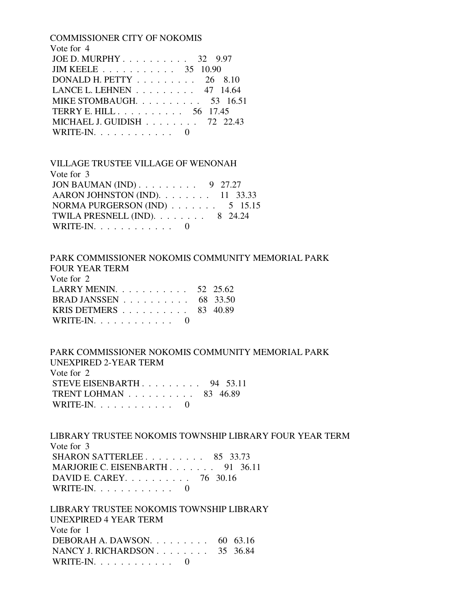| <b>COMMISSIONER CITY OF NOKOMIS</b>             |
|-------------------------------------------------|
| Vote for 4                                      |
| JOE D. MURPHY $32$ 9.97                         |
| JIM KEELE 35 10.90                              |
| DONALD H. PETTY $\ldots \ldots \ldots 26$ 8.10  |
| LANCE L. LEHNEN $\ldots \ldots \ldots$ 47 14.64 |
| MIKE STOMBAUGH. $\ldots$ 53 16.51               |
| TERRY E. HILL 56 17.45                          |
| MICHAEL J. GUIDISH 72 22.43                     |
| $\text{WRITE-IN.} \ldots \ldots \ldots \ldots$  |
|                                                 |

 VILLAGE TRUSTEE VILLAGE OF WENONAH Vote for 3 JON BAUMAN (IND) . . . . . . . . . 9 27.27 AARON JOHNSTON (IND). . . . . . . . 11 33.33 NORMA PURGERSON (IND) . . . . . . . 5 15.15 TWILA PRESNELL (IND). . . . . . . . 8 24.24 WRITE-IN.  $\ldots$  . . . . . . . . 0

PARK COMMISSIONER NOKOMIS COMMUNITY MEMORIAL PARK

 FOUR YEAR TERM Vote for 2 LARRY MENIN. . . . . . . . . . . . 52 25.62 BRAD JANSSEN . . . . . . . . . . 68 33.50 KRIS DETMERS . . . . . . . . . . 83 40.89 WRITE-IN.  $\ldots$  . . . . . . . . . 0

 PARK COMMISSIONER NOKOMIS COMMUNITY MEMORIAL PARK UNEXPIRED 2-YEAR TERM Vote for 2 STEVE EISENBARTH . . . . . . . . . 94 53.11 TRENT LOHMAN . . . . . . . . . . 83 46.89 WRITE-IN. . . . . . . . . . . . 0

 LIBRARY TRUSTEE NOKOMIS TOWNSHIP LIBRARY FOUR YEAR TERM Vote for 3 SHARON SATTERLEE . . . . . . . . . 85 33.73 MARJORIE C. EISENBARTH . . . . . . . 91 36.11 DAVID E. CAREY. . . . . . . . . . 76 30.16 WRITE-IN. . . . . . . . . . . . 0

 LIBRARY TRUSTEE NOKOMIS TOWNSHIP LIBRARY UNEXPIRED 4 YEAR TERM Vote for 1 DEBORAH A. DAWSON. . . . . . . . . 60 63.16 NANCY J. RICHARDSON . . . . . . . . 35 36.84 WRITE-IN. . . . . . . . . . . . 0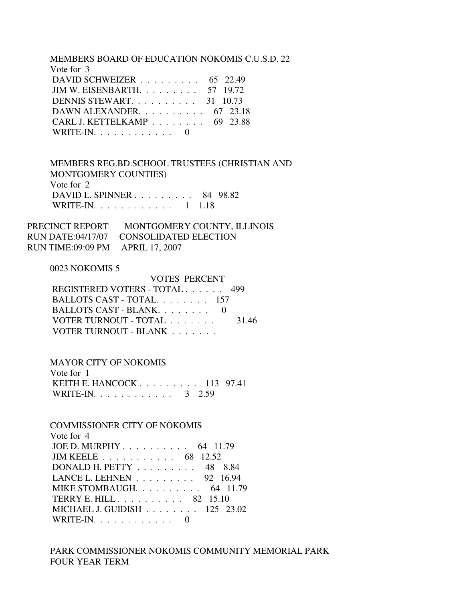MEMBERS BOARD OF EDUCATION NOKOMIS C.U.S.D. 22

| Vote for 3                                         |  |
|----------------------------------------------------|--|
| DAVID SCHWEIZER $\ldots$ 65 22.49                  |  |
| JIM W. EISENBARTH. $\ldots$ 57 19.72               |  |
| DENNIS STEWART. $\ldots$ , 31 10.73                |  |
| DAWN ALEXANDER. $\ldots$ 67 23.18                  |  |
| CARL J. KETTELKAMP $\ldots \ldots \ldots$ 69 23.88 |  |
| WRITE-IN. $\ldots$ , $\ldots$ , $\ldots$ , 0       |  |

 MEMBERS REG.BD.SCHOOL TRUSTEES (CHRISTIAN AND MONTGOMERY COUNTIES) Vote for 2 DAVID L. SPINNER . . . . . . . . . 84 98.82 WRITE-IN. . . . . . . . . . . . 1 1.18

PRECINCT REPORT MONTGOMERY COUNTY, ILLINOIS RUN DATE:04/17/07 CONSOLIDATED ELECTION RUN TIME:09:09 PM APRIL 17, 2007

## 0023 NOKOMIS 5

| REGISTERED VOTERS - TOTAL 499 |
|-------------------------------|
| BALLOTS CAST - TOTAL. 157     |
| BALLOTS CAST - BLANK $0$      |
| 31.46                         |
|                               |
| <b>VOTES PERCENT</b>          |

#### MAYOR CITY OF NOKOMIS

| Vote for 1                   |  |  |
|------------------------------|--|--|
| KEITH E. HANCOCK $113$ 97.41 |  |  |
| WRITE-IN. 3 2.59             |  |  |

# COMMISSIONER CITY OF NOKOMIS

| Vote for 4                                           |
|------------------------------------------------------|
| JOE D. MURPHY 64 11.79                               |
| JIM KEELE $\ldots \ldots \ldots \ldots$ 68 12.52     |
| DONALD H. PETTY $\ldots \ldots \ldots$ 48 8.84       |
| LANCE L. LEHNEN $\ldots \ldots \ldots$ 92 16.94      |
| MIKE STOMBAUGH. $\ldots$ 64 11.79                    |
| TERRY E. HILL $\ldots \ldots \ldots \ldots$ 82 15.10 |
| MICHAEL J. GUIDISH $\ldots \ldots \ldots 125$ 23.02  |
| WRITE-IN. $\ldots \ldots \ldots$                     |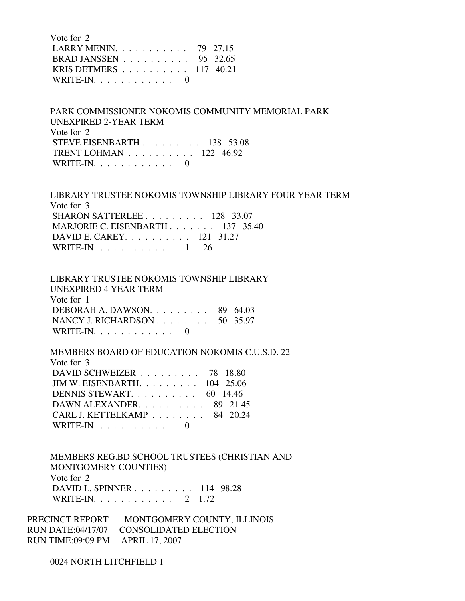| Vote for 2                                   |  |
|----------------------------------------------|--|
| LARRY MENIN. 79 27.15                        |  |
| BRAD JANSSEN $\ldots$ 95 32.65               |  |
| KRIS DETMERS $\ldots$ 117 40.21              |  |
| WRITE-IN. $\ldots$ , $\ldots$ , $\ldots$ , 0 |  |

 PARK COMMISSIONER NOKOMIS COMMUNITY MEMORIAL PARK UNEXPIRED 2-YEAR TERM Vote for 2 STEVE EISENBARTH . . . . . . . . . 138 53.08 TRENT LOHMAN . . . . . . . . . . 122 46.92

WRITE-IN.  $\ldots$  . . . . . . . . 0

 LIBRARY TRUSTEE NOKOMIS TOWNSHIP LIBRARY FOUR YEAR TERM Vote for 3 SHARON SATTERLEE . . . . . . . . . 128 33.07 MARJORIE C. EISENBARTH . . . . . . . 137 35.40 DAVID E. CAREY. . . . . . . . . . 121 31.27 WRITE-IN. . . . . . . . . . . . 1 .26

 LIBRARY TRUSTEE NOKOMIS TOWNSHIP LIBRARY UNEXPIRED 4 YEAR TERM Vote for 1 DEBORAH A. DAWSON. . . . . . . . . 89 64.03 NANCY J. RICHARDSON . . . . . . . . 50 35.97 WRITE-IN. . . . . . . . . . . . 0

 MEMBERS BOARD OF EDUCATION NOKOMIS C.U.S.D. 22 Vote for 3 DAVID SCHWEIZER . . . . . . . . . 78 18.80 JIM W. EISENBARTH. . . . . . . . . 104 25.06 DENNIS STEWART. . . . . . . . . . 60 14.46 DAWN ALEXANDER. . . . . . . . . . 89 21.45 CARL J. KETTELKAMP . . . . . . . . 84 20.24  $\text{WRITE-IN.} \ldots \ldots \ldots \ldots$ 

 MEMBERS REG.BD.SCHOOL TRUSTEES (CHRISTIAN AND MONTGOMERY COUNTIES) Vote for 2 DAVID L. SPINNER . . . . . . . . . 114 98.28 WRITE-IN. . . . . . . . . . . . 2 1.72

PRECINCT REPORT MONTGOMERY COUNTY, ILLINOIS RUN DATE:04/17/07 CONSOLIDATED ELECTION RUN TIME:09:09 PM APRIL 17, 2007

0024 NORTH LITCHFIELD 1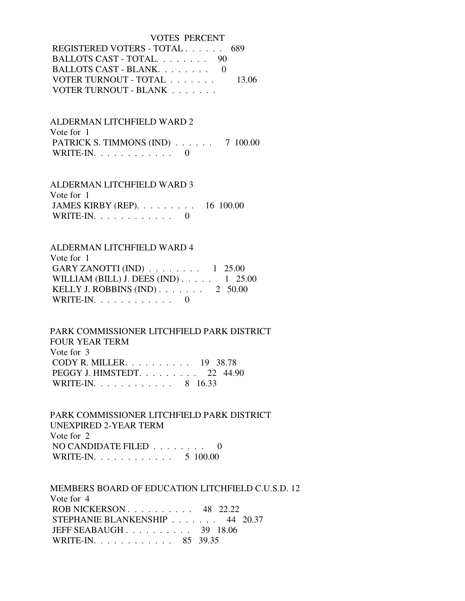VOTES PERCENT REGISTERED VOTERS - TOTAL . . . . . . 689 BALLOTS CAST - TOTAL. . . . . . . . 90 BALLOTS CAST - BLANK. . . . . . . . 0 VOTER TURNOUT - TOTAL . . . . . . . 13.06 VOTER TURNOUT - BLANK . . . . . . .

 ALDERMAN LITCHFIELD WARD 2 Vote for 1 PATRICK S. TIMMONS (IND) . . . . . . 7 100.00 WRITE-IN. . . . . . . . . . . . 0

 ALDERMAN LITCHFIELD WARD 3 Vote for 1 JAMES KIRBY (REP). . . . . . . . . 16 100.00 WRITE-IN.  $\ldots$  . . . . . . . . . 0

## ALDERMAN LITCHFIELD WARD 4

 Vote for 1 GARY ZANOTTI (IND)  $\ldots \ldots \ldots \ldots 1$  25.00 WILLIAM (BILL) J. DEES (IND) . . . . . 1 25.00 KELLY J. ROBBINS  $(IND)$ ....... 2 50.00 WRITE-IN.  $\ldots$  . . . . . . . . . 0

 PARK COMMISSIONER LITCHFIELD PARK DISTRICT FOUR YEAR TERM Vote for 3 CODY R. MILLER. . . . . . . . . . 19 38.78 PEGGY J. HIMSTEDT. . . . . . . . . 22 44.90 WRITE-IN. . . . . . . . . . . . 8 16.33

 PARK COMMISSIONER LITCHFIELD PARK DISTRICT UNEXPIRED 2-YEAR TERM Vote for 2 NO CANDIDATE FILED . . . . . . . . 0 WRITE-IN. . . . . . . . . . . . 5 100.00

 MEMBERS BOARD OF EDUCATION LITCHFIELD C.U.S.D. 12 Vote for 4 ROB NICKERSON . . . . . . . . . . 48 22.22 STEPHANIE BLANKENSHIP . . . . . . . 44 20.37 JEFF SEABAUGH . . . . . . . . . . 39 18.06 WRITE-IN. . . . . . . . . . . . 85 39.35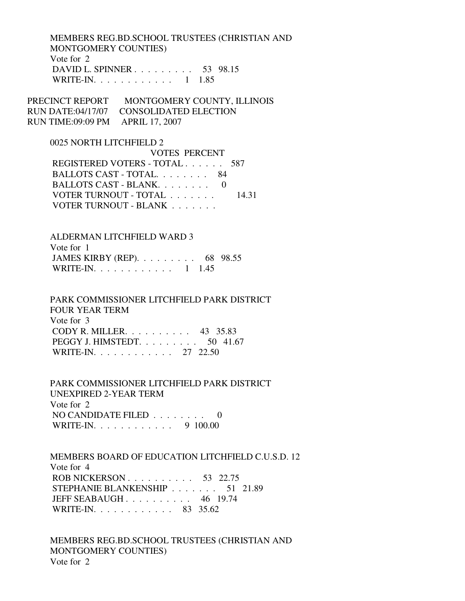MEMBERS REG.BD.SCHOOL TRUSTEES (CHRISTIAN AND MONTGOMERY COUNTIES) Vote for 2 DAVID L. SPINNER . . . . . . . . . 53 98.15 WRITE-IN. . . . . . . . . . . . 1 1.85

PRECINCT REPORT MONTGOMERY COUNTY, ILLINOIS RUN DATE:04/17/07 CONSOLIDATED ELECTION RUN TIME:09:09 PM APRIL 17, 2007

#### 0025 NORTH LITCHFIELD 2

 VOTES PERCENT REGISTERED VOTERS - TOTAL . . . . . . 587 BALLOTS CAST - TOTAL. . . . . . . . 84 BALLOTS CAST - BLANK. . . . . . . . 0 VOTER TURNOUT - TOTAL . . . . . . . 14.31 VOTER TURNOUT - BLANK . . . . . . . .

## ALDERMAN LITCHFIELD WARD 3

| Vote for 1                                         |  |
|----------------------------------------------------|--|
| JAMES KIRBY (REP). $\ldots \ldots \ldots$ 68 98.55 |  |
| WRITE-IN. 1 1.45                                   |  |

#### PARK COMMISSIONER LITCHFIELD PARK DISTRICT FOUR YEAR TERM

 Vote for 3 CODY R. MILLER. . . . . . . . . . 43 35.83 PEGGY J. HIMSTEDT. . . . . . . . . . 50 41.67 WRITE-IN. . . . . . . . . . . . 27 22.50

# PARK COMMISSIONER LITCHFIELD PARK DISTRICT UNEXPIRED 2-YEAR TERM Vote for 2 NO CANDIDATE FILED . . . . . . . . 0

WRITE-IN. . . . . . . . . . . . 9 100.00

 MEMBERS BOARD OF EDUCATION LITCHFIELD C.U.S.D. 12 Vote for 4 ROB NICKERSON . . . . . . . . . . . 53 22.75 STEPHANIE BLANKENSHIP . . . . . . . 51 21.89 JEFF SEABAUGH . . . . . . . . . . 46 19.74 WRITE-IN. . . . . . . . . . . . 83 35.62

 MEMBERS REG.BD.SCHOOL TRUSTEES (CHRISTIAN AND MONTGOMERY COUNTIES) Vote for 2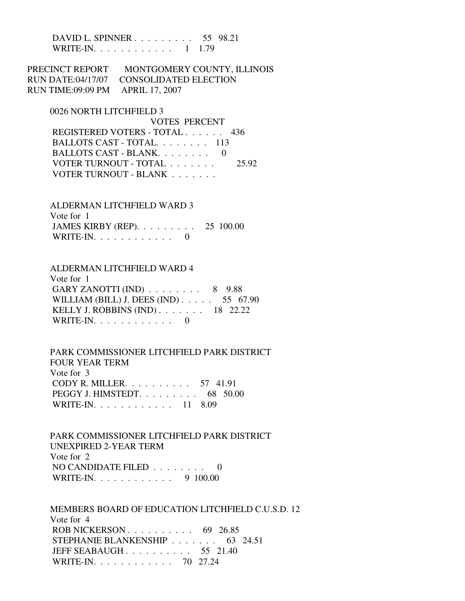DAVID L. SPINNER . . . . . . . . . 55 98.21 WRITE-IN. . . . . . . . . . . . 1 1.79

PRECINCT REPORT MONTGOMERY COUNTY, ILLINOIS RUN DATE:04/17/07 CONSOLIDATED ELECTION RUN TIME:09:09 PM APRIL 17, 2007

0026 NORTH LITCHFIELD 3

 VOTES PERCENT REGISTERED VOTERS - TOTAL . . . . . . 436 BALLOTS CAST - TOTAL. . . . . . . . 113 BALLOTS CAST - BLANK. . . . . . . . 0 VOTER TURNOUT - TOTAL . . . . . . . 25.92 VOTER TURNOUT - BLANK . . . . . . .

 ALDERMAN LITCHFIELD WARD 3 Vote for 1 JAMES KIRBY (REP). . . . . . . . . 25 100.00 WRITE-IN.  $\ldots$  . . . . . . . . . 0

 ALDERMAN LITCHFIELD WARD 4 Vote for 1 GARY ZANOTTI  $(IND)$  . . . . . . . . 8 9.88 WILLIAM (BILL) J. DEES (IND) . . . . . 55 67.90 KELLY J. ROBBINS (IND) . . . . . . . 18 22.22 WRITE-IN. . . . . . . . . . . . 0

 PARK COMMISSIONER LITCHFIELD PARK DISTRICT FOUR YEAR TERM Vote for 3 CODY R. MILLER. . . . . . . . . . 57 41.91 PEGGY J. HIMSTEDT. . . . . . . . . 68 50.00 WRITE-IN. . . . . . . . . . . . 11 8.09

 PARK COMMISSIONER LITCHFIELD PARK DISTRICT UNEXPIRED 2-YEAR TERM Vote for 2 NO CANDIDATE FILED . . . . . . . . 0 WRITE-IN. . . . . . . . . . . . 9 100.00

 MEMBERS BOARD OF EDUCATION LITCHFIELD C.U.S.D. 12 Vote for 4 ROB NICKERSON . . . . . . . . . . . 69 26.85 STEPHANIE BLANKENSHIP . . . . . . . 63 24.51 JEFF SEABAUGH . . . . . . . . . . 55 21.40 WRITE-IN. . . . . . . . . . . . 70 27.24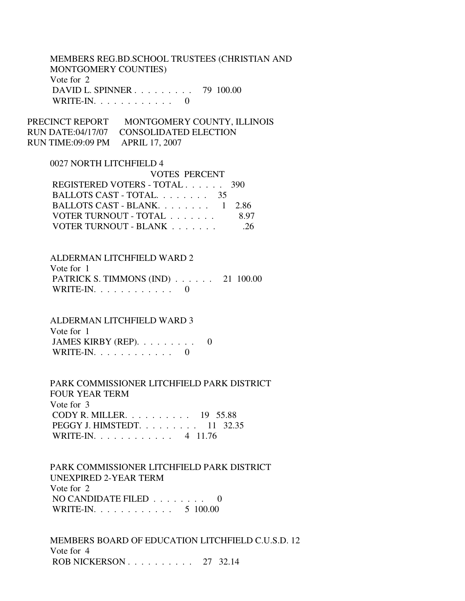# MEMBERS REG.BD.SCHOOL TRUSTEES (CHRISTIAN AND MONTGOMERY COUNTIES) Vote for 2 DAVID L. SPINNER . . . . . . . . . 79 100.00 WRITE-IN.  $\ldots$  . . . . . . . . . 0

PRECINCT REPORT MONTGOMERY COUNTY, ILLINOIS RUN DATE:04/17/07 CONSOLIDATED ELECTION RUN TIME:09:09 PM APRIL 17, 2007

## 0027 NORTH LITCHFIELD 4

| <b>VOTES PERCENT</b>          |       |
|-------------------------------|-------|
| REGISTERED VOTERS - TOTAL 390 |       |
| BALLOTS CAST - TOTAL. 35      |       |
| BALLOTS CAST - BLANK. 1 2.86  |       |
| VOTER TURNOUT - TOTAL         | 8 Y 7 |
| VOTER TURNOUT - BLANK         | -26   |

# ALDERMAN LITCHFIELD WARD 2 Vote for 1 PATRICK S. TIMMONS (IND) . . . . . . 21 100.00 WRITE-IN.  $\ldots$  . . . . . . . . . 0

ALDERMAN LITCHFIELD WARD 3

| Vote for 1                         |  |
|------------------------------------|--|
| JAMES KIRBY (REP). $\ldots \ldots$ |  |
| WRITE-IN. $\ldots$                 |  |

 PARK COMMISSIONER LITCHFIELD PARK DISTRICT FOUR YEAR TERM Vote for 3 CODY R. MILLER. . . . . . . . . . 19 55.88 PEGGY J. HIMSTEDT. . . . . . . . . 11 32.35 WRITE-IN. . . . . . . . . . . . 4 11.76

 PARK COMMISSIONER LITCHFIELD PARK DISTRICT UNEXPIRED 2-YEAR TERM Vote for 2 NO CANDIDATE FILED . . . . . . . . 0 WRITE-IN. . . . . . . . . . . . 5 100.00

 MEMBERS BOARD OF EDUCATION LITCHFIELD C.U.S.D. 12 Vote for 4 ROB NICKERSON . . . . . . . . . . 27 32.14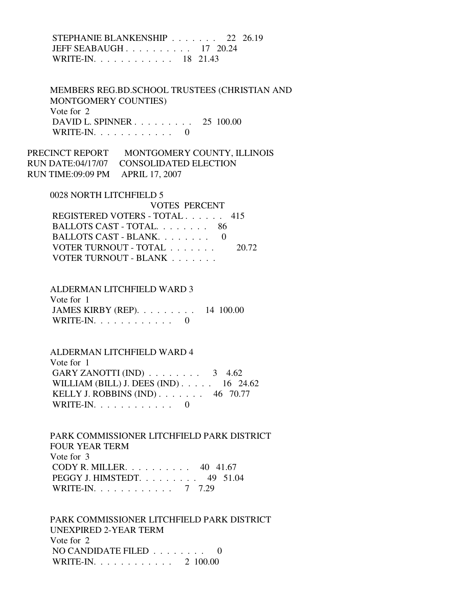# STEPHANIE BLANKENSHIP . . . . . . . 22 26.19 JEFF SEABAUGH . . . . . . . . . . 17 20.24 WRITE-IN. . . . . . . . . . . . 18 21.43

 MEMBERS REG.BD.SCHOOL TRUSTEES (CHRISTIAN AND MONTGOMERY COUNTIES) Vote for 2 DAVID L. SPINNER . . . . . . . . . 25 100.00 WRITE-IN.  $\ldots$  . . . . . . . . . 0

PRECINCT REPORT MONTGOMERY COUNTY, ILLINOIS RUN DATE:04/17/07 CONSOLIDATED ELECTION RUN TIME:09:09 PM APRIL 17, 2007

#### 0028 NORTH LITCHFIELD 5

 VOTES PERCENT REGISTERED VOTERS - TOTAL . . . . . . 415 BALLOTS CAST - TOTAL. . . . . . . . 86 BALLOTS CAST - BLANK. . . . . . . . 0 VOTER TURNOUT - TOTAL . . . . . . . 20.72 VOTER TURNOUT - BLANK . . . . . . .

# ALDERMAN LITCHFIELD WARD 3 Vote for 1 JAMES KIRBY (REP). . . . . . . . . 14 100.00 WRITE-IN.  $\ldots$  . . . . . . . . . 0

 ALDERMAN LITCHFIELD WARD 4 Vote for 1 GARY ZANOTTI (IND)  $\ldots \ldots \ldots$  3 4.62 WILLIAM (BILL) J. DEES (IND) . . . . . 16 24.62 KELLY J. ROBBINS (IND) . . . . . . . 46 70.77 WRITE-IN. . . . . . . . . . . . 0

 PARK COMMISSIONER LITCHFIELD PARK DISTRICT FOUR YEAR TERM Vote for 3 CODY R. MILLER. . . . . . . . . . 40 41.67 PEGGY J. HIMSTEDT. . . . . . . . . 49 51.04 WRITE-IN. . . . . . . . . . . . 7 7.29

 PARK COMMISSIONER LITCHFIELD PARK DISTRICT UNEXPIRED 2-YEAR TERM Vote for 2 NO CANDIDATE FILED . . . . . . . . 0 WRITE-IN. . . . . . . . . . . . 2 100.00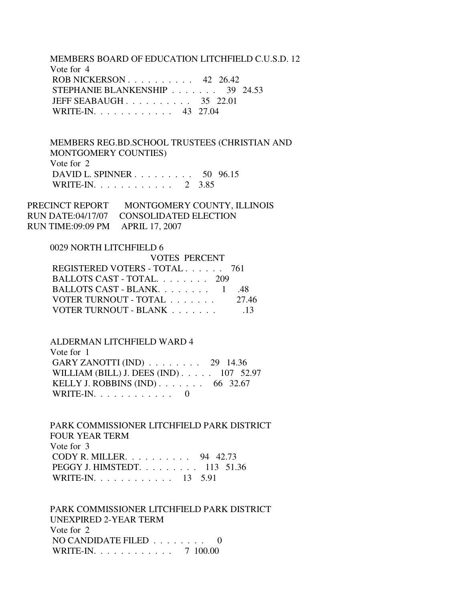MEMBERS BOARD OF EDUCATION LITCHFIELD C.U.S.D. 12 Vote for 4 ROB NICKERSON . . . . . . . . . . 42 26.42 STEPHANIE BLANKENSHIP . . . . . . . 39 24.53 JEFF SEABAUGH . . . . . . . . . . 35 22.01 WRITE-IN. . . . . . . . . . . . 43 27.04

 MEMBERS REG.BD.SCHOOL TRUSTEES (CHRISTIAN AND MONTGOMERY COUNTIES) Vote for 2 DAVID L. SPINNER . . . . . . . . . 50 96.15 WRITE-IN. . . . . . . . . . . . . 2 3.85

PRECINCT REPORT MONTGOMERY COUNTY, ILLINOIS RUN DATE:04/17/07 CONSOLIDATED ELECTION RUN TIME:09:09 PM APRIL 17, 2007

 0029 NORTH LITCHFIELD 6 VOTES PERCENT REGISTERED VOTERS - TOTAL . . . . . . 761 BALLOTS CAST - TOTAL. . . . . . . . 209 BALLOTS CAST - BLANK. . . . . . . . 1 .48 VOTER TURNOUT - TOTAL . . . . . . . 27.46 VOTER TURNOUT - BLANK . . . . . . . . . . . 13

 ALDERMAN LITCHFIELD WARD 4 Vote for 1 GARY ZANOTTI (IND) . . . . . . . . 29 14.36 WILLIAM (BILL) J. DEES (IND) . . . . . 107 52.97 KELLY J. ROBBINS (IND) . . . . . . . 66 32.67 WRITE-IN.  $\ldots$  . . . . . . . . . 0

 PARK COMMISSIONER LITCHFIELD PARK DISTRICT FOUR YEAR TERM Vote for 3 CODY R. MILLER. . . . . . . . . . 94 42.73 PEGGY J. HIMSTEDT. . . . . . . . . 113 51.36 WRITE-IN. . . . . . . . . . . . 13 5.91

 PARK COMMISSIONER LITCHFIELD PARK DISTRICT UNEXPIRED 2-YEAR TERM Vote for 2 NO CANDIDATE FILED . . . . . . . . 0 WRITE-IN. . . . . . . . . . . . . 7 100.00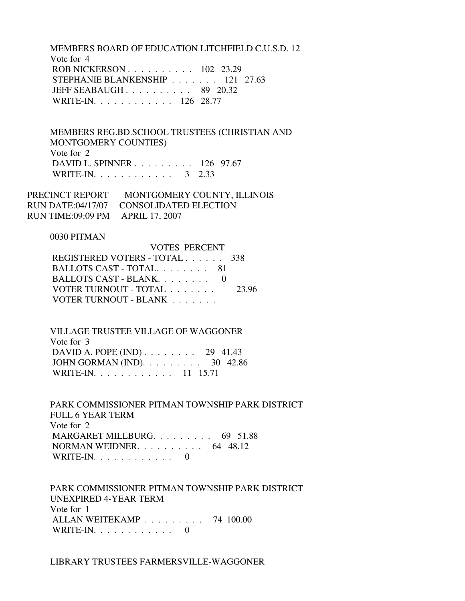MEMBERS BOARD OF EDUCATION LITCHFIELD C.U.S.D. 12 Vote for 4 ROB NICKERSON . . . . . . . . . . 102 23.29 STEPHANIE BLANKENSHIP . . . . . . . 121 27.63 JEFF SEABAUGH . . . . . . . . . . 89 20.32 WRITE-IN. . . . . . . . . . . . 126 28.77

 MEMBERS REG.BD.SCHOOL TRUSTEES (CHRISTIAN AND MONTGOMERY COUNTIES) Vote for 2 DAVID L. SPINNER . . . . . . . . . 126 97.67 WRITE-IN. . . . . . . . . . . . . 3 2.33

VOTES PERCENT

| PRECINCT REPORT                  | MONTGOMERY COUNTY, ILLINOIS             |
|----------------------------------|-----------------------------------------|
|                                  | RUN DATE:04/17/07 CONSOLIDATED ELECTION |
| RUN TIME:09:09 PM APRIL 17, 2007 |                                         |

### 0030 PITMAN

| VOLES PERCENT                 |       |
|-------------------------------|-------|
| REGISTERED VOTERS - TOTAL 338 |       |
| BALLOTS CAST - TOTAL 81       |       |
| BALLOTS CAST - BLANK. 0       |       |
| VOTER TURNOUT - TOTAL         | 23.96 |
| VOTER TURNOUT - BLANK         |       |

 VILLAGE TRUSTEE VILLAGE OF WAGGONER Vote for 3 DAVID A. POPE (IND) . . . . . . . . 29 41.43 JOHN GORMAN (IND). . . . . . . . . 30 42.86 WRITE-IN. . . . . . . . . . . . 11 15.71

 PARK COMMISSIONER PITMAN TOWNSHIP PARK DISTRICT FULL 6 YEAR TERM Vote for 2 MARGARET MILLBURG. . . . . . . . . 69 51.88 NORMAN WEIDNER. . . . . . . . . . 64 48.12 WRITE-IN.  $\ldots$  . . . . . . . . . 0

 PARK COMMISSIONER PITMAN TOWNSHIP PARK DISTRICT UNEXPIRED 4-YEAR TERM Vote for 1 ALLAN WEITEKAMP . . . . . . . . . 74 100.00 WRITE-IN. . . . . . . . . . . . 0

LIBRARY TRUSTEES FARMERSVILLE-WAGGONER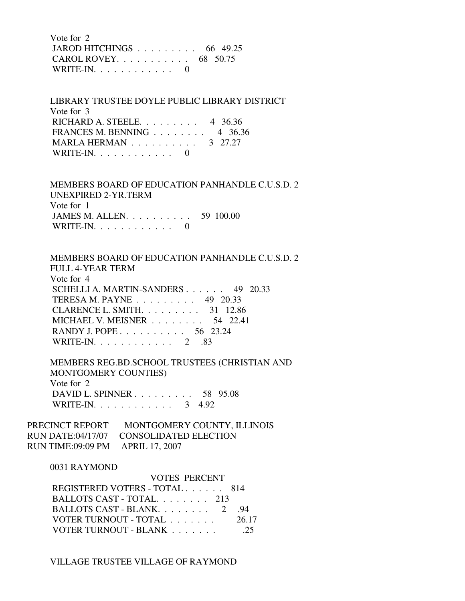Vote for 2 JAROD HITCHINGS . . . . . . . . . 66 49.25 CAROL ROVEY. . . . . . . . . . . 68 50.75 WRITE-IN.  $\ldots$  . . . . . . . . 0

 LIBRARY TRUSTEE DOYLE PUBLIC LIBRARY DISTRICT Vote for 3 RICHARD A. STEELE. . . . . . . . . 4 36.36 FRANCES M. BENNING . . . . . . . . 4 36.36 MARLA HERMAN . . . . . . . . . . 3 27.27 WRITE-IN.  $\ldots$  . . . . . . . . . 0

 MEMBERS BOARD OF EDUCATION PANHANDLE C.U.S.D. 2 UNEXPIRED 2-YR.TERM Vote for 1 JAMES M. ALLEN. . . . . . . . . . 59 100.00 WRITE-IN.  $\ldots$  . . . . . . . . 0

 MEMBERS BOARD OF EDUCATION PANHANDLE C.U.S.D. 2 FULL 4-YEAR TERM Vote for 4 SCHELLI A. MARTIN-SANDERS . . . . . . 49 20.33 TERESA M. PAYNE . . . . . . . . . 49 20.33 CLARENCE L. SMITH. . . . . . . . . 31 12.86 MICHAEL V. MEISNER . . . . . . . . 54 22.41 RANDY J. POPE . . . . . . . . . . . 56 23.24 WRITE-IN. . . . . . . . . . . . 2 .83

 MEMBERS REG.BD.SCHOOL TRUSTEES (CHRISTIAN AND MONTGOMERY COUNTIES) Vote for 2 DAVID L. SPINNER . . . . . . . . . 58 95.08 WRITE-IN. . . . . . . . . . . . . 3 4.92

PRECINCT REPORT MONTGOMERY COUNTY, ILLINOIS RUN DATE:04/17/07 CONSOLIDATED ELECTION RUN TIME:09:09 PM APRIL 17, 2007

## 0031 RAYMOND

| <b>VOTES PERCENT</b>          |       |
|-------------------------------|-------|
| REGISTERED VOTERS - TOTAL 814 |       |
| BALLOTS CAST - TOTAL 213      |       |
|                               | 94    |
| VOTER TURNOUT - TOTAL         | 26.17 |
| VOTER TURNOUT - BLANK         | 25    |

VILLAGE TRUSTEE VILLAGE OF RAYMOND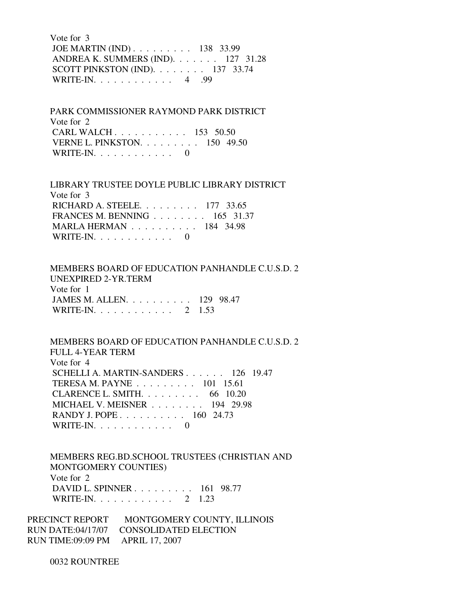Vote for 3 JOE MARTIN (IND) . . . . . . . . . 138 33.99 ANDREA K. SUMMERS (IND). . . . . . . 127 31.28 SCOTT PINKSTON (IND). . . . . . . . 137 33.74 WRITE-IN. . . . . . . . . . . . 4 .99

 PARK COMMISSIONER RAYMOND PARK DISTRICT Vote for 2 CARL WALCH . . . . . . . . . . . 153 50.50 VERNE L. PINKSTON. . . . . . . . . 150 49.50 WRITE-IN.  $\ldots$  . . . . . . . . 0

 LIBRARY TRUSTEE DOYLE PUBLIC LIBRARY DISTRICT Vote for 3 RICHARD A. STEELE. . . . . . . . . 177 33.65 FRANCES M. BENNING . . . . . . . . 165 31.37 MARLA HERMAN . . . . . . . . . . 184 34.98 WRITE-IN.  $\ldots$  . . . . . . . . . 0

 MEMBERS BOARD OF EDUCATION PANHANDLE C.U.S.D. 2 UNEXPIRED 2-YR.TERM Vote for 1 JAMES M. ALLEN. . . . . . . . . . 129 98.47 WRITE-IN. . . . . . . . . . . . 2 1.53

 MEMBERS BOARD OF EDUCATION PANHANDLE C.U.S.D. 2 FULL 4-YEAR TERM Vote for 4 SCHELLI A. MARTIN-SANDERS . . . . . . 126 19.47 TERESA M. PAYNE . . . . . . . . . 101 15.61 CLARENCE L. SMITH. . . . . . . . . 66 10.20 MICHAEL V. MEISNER . . . . . . . . 194 29.98 RANDY J. POPE . . . . . . . . . . . 160 24.73 WRITE-IN.  $\ldots$  . . . . . . . . . 0

 MEMBERS REG.BD.SCHOOL TRUSTEES (CHRISTIAN AND MONTGOMERY COUNTIES) Vote for 2 DAVID L. SPINNER . . . . . . . . . 161 98.77 WRITE-IN. . . . . . . . . . . . 2 1.23

PRECINCT REPORT MONTGOMERY COUNTY, ILLINOIS RUN DATE:04/17/07 CONSOLIDATED ELECTION RUN TIME:09:09 PM APRIL 17, 2007

0032 ROUNTREE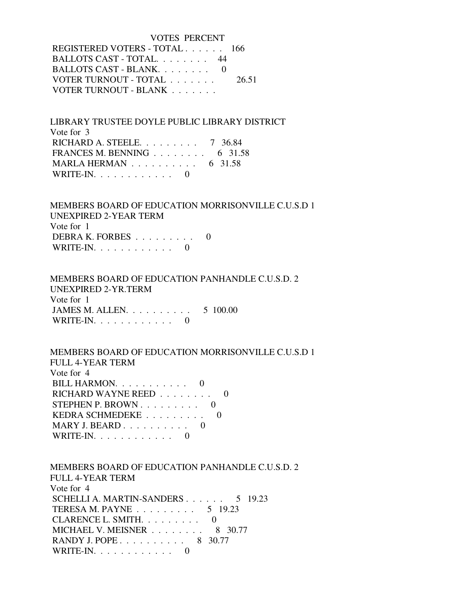| VOTES PERCENT                 |       |
|-------------------------------|-------|
| REGISTERED VOTERS - TOTAL 166 |       |
| BALLOTS CAST - TOTAL 44       |       |
| BALLOTS CAST - BLANK. 0       |       |
| VOTER TURNOUT - TOTAL         | 26.51 |
| VOTER TURNOUT - BLANK         |       |

 LIBRARY TRUSTEE DOYLE PUBLIC LIBRARY DISTRICT Vote for 3 RICHARD A. STEELE. . . . . . . . . 7 36.84 FRANCES M. BENNING . . . . . . . . 6 31.58 MARLA HERMAN . . . . . . . . . . 6 31.58 WRITE-IN.  $\ldots$  . . . . . . . . 0

 MEMBERS BOARD OF EDUCATION MORRISONVILLE C.U.S.D 1 UNEXPIRED 2-YEAR TERM Vote for 1 DEBRA K. FORBES . . . . . . . . . 0 WRITE-IN. . . . . . . . . . . . 0

# MEMBERS BOARD OF EDUCATION PANHANDLE C.U.S.D. 2 UNEXPIRED 2-YR.TERM Vote for 1 JAMES M. ALLEN. . . . . . . . . . 5 100.00 WRITE-IN. . . . . . . . . . . . 0

 MEMBERS BOARD OF EDUCATION MORRISONVILLE C.U.S.D 1 FULL 4-YEAR TERM Vote for 4 BILL HARMON. . . . . . . . . . . 0 RICHARD WAYNE REED . . . . . . . . 0 STEPHEN P. BROWN . . . . . . . . . 0 KEDRA SCHMEDEKE . . . . . . . . . 0 MARY J. BEARD . . . . . . . . . . 0 WRITE-IN. . . . . . . . . . . . 0

 MEMBERS BOARD OF EDUCATION PANHANDLE C.U.S.D. 2 FULL 4-YEAR TERM Vote for 4 SCHELLI A. MARTIN-SANDERS . . . . . . 5 19.23 TERESA M. PAYNE . . . . . . . . . 5 19.23 CLARENCE L. SMITH. . . . . . . . . 0 MICHAEL V. MEISNER . . . . . . . . 8 30.77 RANDY J. POPE . . . . . . . . . . 8 30.77 WRITE-IN. . . . . . . . . . . . 0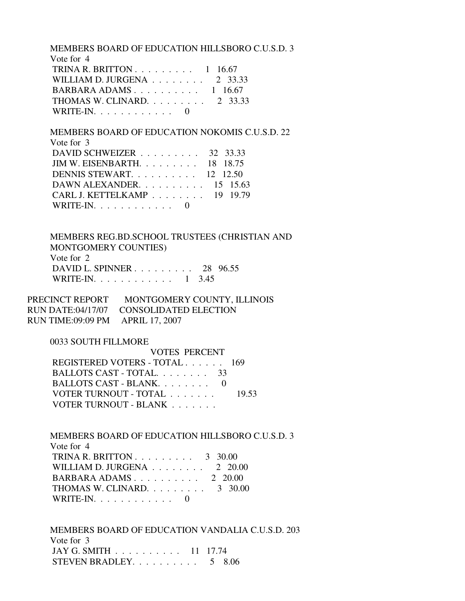MEMBERS BOARD OF EDUCATION HILLSBORO C.U.S.D. 3 Vote for 4 TRINA R. BRITTON  $\ldots \ldots \ldots 1$  16.67 WILLIAM D. JURGENA . . . . . . . . 2 33.33 BARBARA ADAMS . . . . . . . . . . 1 16.67 THOMAS W. CLINARD. . . . . . . . . 2 33.33 WRITE-IN.  $\ldots$  . . . . . . . . . 0

 MEMBERS BOARD OF EDUCATION NOKOMIS C.U.S.D. 22 Vote for 3 DAVID SCHWEIZER . . . . . . . . . 32 33.33

| DAVID SCHWEIZER $\ldots$ , , $\frac{32}{33.33}$    |  |
|----------------------------------------------------|--|
| JIM W. EISENBARTH. $\ldots$ 18 18.75               |  |
| DENNIS STEWART. 12 12.50                           |  |
| DAWN ALEXANDER. $\ldots$ 15 15.63                  |  |
| CARL J. KETTELKAMP $\ldots \ldots \ldots$ 19 19.79 |  |
| WRITE-IN. $\ldots$ 0                               |  |

 MEMBERS REG.BD.SCHOOL TRUSTEES (CHRISTIAN AND MONTGOMERY COUNTIES) Vote for 2 DAVID L. SPINNER . . . . . . . . . 28 96.55 WRITE-IN. . . . . . . . . . . . 1 3.45

PRECINCT REPORT MONTGOMERY COUNTY, ILLINOIS RUN DATE:04/17/07 CONSOLIDATED ELECTION RUN TIME:09:09 PM APRIL 17, 2007

0033 SOUTH FILLMORE

| VOTES PERCENT                 |       |
|-------------------------------|-------|
| REGISTERED VOTERS - TOTAL 169 |       |
| BALLOTS CAST - TOTAL 33       |       |
| BALLOTS CAST - BLANK. 0       |       |
| VOTER TURNOUT - TOTAL         | 19.53 |
| VOTER TURNOUT - BLANK         |       |

 MEMBERS BOARD OF EDUCATION HILLSBORO C.U.S.D. 3 Vote for 4 TRINA R. BRITTON . . . . . . . . . 3 30.00 WILLIAM D. JURGENA . . . . . . . . 2 20.00 BARBARA ADAMS . . . . . . . . . . 2 20.00 THOMAS W. CLINARD. . . . . . . . . 3 30.00 WRITE-IN. . . . . . . . . . . . 0

 MEMBERS BOARD OF EDUCATION VANDALIA C.U.S.D. 203 Vote for 3 JAY G. SMITH . . . . . . . . . . 11 17.74 STEVEN BRADLEY. . . . . . . . . . 5 8.06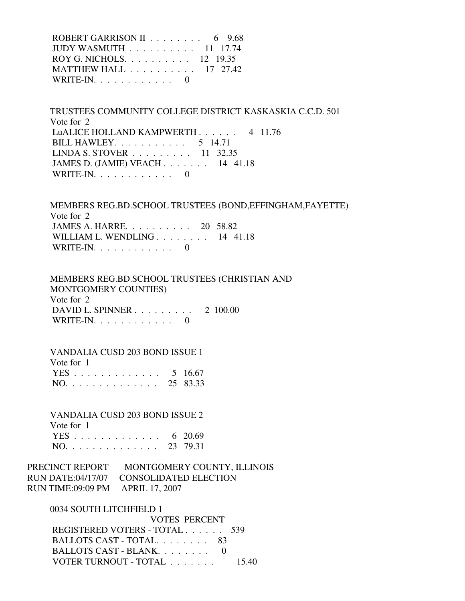| ROBERT GARRISON II $\ldots \ldots \ldots$ 6 9.68    |  |
|-----------------------------------------------------|--|
| JUDY WASMUTH $\ldots \ldots \ldots \ldots 11$ 17.74 |  |
| ROY G. NICHOLS. 12 19.35                            |  |
| MATTHEW HALL 17 27.42                               |  |
| WRITE-IN. $\ldots$ 0                                |  |

 TRUSTEES COMMUNITY COLLEGE DISTRICT KASKASKIA C.C.D. 501 Vote for 2 LuALICE HOLLAND KAMPWERTH . . . . . . 4 11.76 BILL HAWLEY. . . . . . . . . . . 5 14.71 LINDA S. STOVER . . . . . . . . . 11 32.35 JAMES D. (JAMIE) VEACH . . . . . . . 14 41.18 WRITE-IN.  $\ldots$  . . . . . . . . 0

 MEMBERS REG.BD.SCHOOL TRUSTEES (BOND,EFFINGHAM,FAYETTE) Vote for 2 JAMES A. HARRE. . . . . . . . . . 20 58.82 WILLIAM L. WENDLING . . . . . . . . 14 41.18 WRITE-IN.  $\ldots$  . . . . . . . . 0

 MEMBERS REG.BD.SCHOOL TRUSTEES (CHRISTIAN AND MONTGOMERY COUNTIES) Vote for 2 DAVID L. SPINNER . . . . . . . . . 2 100.00 WRITE-IN. . . . . . . . . . . . 0

 VANDALIA CUSD 203 BOND ISSUE 1 Vote for 1 YES . . . . . . . . . . . . . 5 16.67 NO. . . . . . . . . . . . . . 25 83.33

 VANDALIA CUSD 203 BOND ISSUE 2 Vote for 1 YES . . . . . . . . . . . . . . 6 20.69 NO. . . . . . . . . . . . . . 23 79.31

PRECINCT REPORT MONTGOMERY COUNTY, ILLINOIS RUN DATE:04/17/07 CONSOLIDATED ELECTION RUN TIME:09:09 PM APRIL 17, 2007

 0034 SOUTH LITCHFIELD 1 VOTES PERCENT REGISTERED VOTERS - TOTAL . . . . . . 539 BALLOTS CAST - TOTAL. . . . . . . . 83 BALLOTS CAST - BLANK. . . . . . . . 0 VOTER TURNOUT - TOTAL . . . . . . . 15.40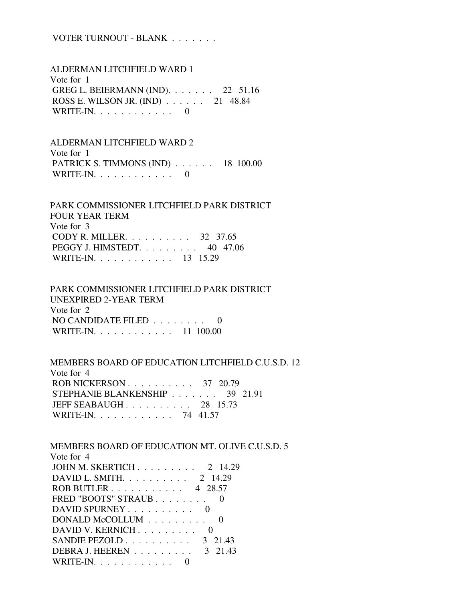# VOTER TURNOUT - BLANK . . . . . . .

 ALDERMAN LITCHFIELD WARD 1 Vote for 1 GREG L. BEIERMANN (IND). . . . . . . 22 51.16 ROSS E. WILSON JR. (IND) . . . . . . 21 48.84 WRITE-IN.  $\ldots$  . . . . . . . . . 0

 ALDERMAN LITCHFIELD WARD 2 Vote for 1 PATRICK S. TIMMONS (IND) . . . . . . 18 100.00 WRITE-IN.  $\ldots$  . . . . . . . . 0

 PARK COMMISSIONER LITCHFIELD PARK DISTRICT FOUR YEAR TERM Vote for 3 CODY R. MILLER. . . . . . . . . . 32 37.65 PEGGY J. HIMSTEDT. . . . . . . . . 40 47.06 WRITE-IN. . . . . . . . . . . . 13 15.29

 PARK COMMISSIONER LITCHFIELD PARK DISTRICT UNEXPIRED 2-YEAR TERM Vote for 2 NO CANDIDATE FILED . . . . . . . . 0 WRITE-IN. . . . . . . . . . . . 11 100.00

 MEMBERS BOARD OF EDUCATION LITCHFIELD C.U.S.D. 12 Vote for 4 ROB NICKERSON . . . . . . . . . . . 37 20.79 STEPHANIE BLANKENSHIP . . . . . . . 39 21.91 JEFF SEABAUGH . . . . . . . . . . 28 15.73 WRITE-IN. . . . . . . . . . . . 74 41.57

MEMBERS BOARD OF EDUCATION MT. OLIVE C.U.S.D. 5

| Vote for 4                   |
|------------------------------|
| JOHN M. SKERTICH 2 14.29     |
| DAVID L. SMITH 2 14.29       |
| ROB BUTLER 4 28.57           |
| FRED "BOOTS" STRAUB          |
| DAVID SPURNEY                |
| DONALD McCOLLUM              |
| DAVID V. KERNICH             |
| SANDIE PEZOLD $3\quad 21.43$ |
| DEBRA J. HEEREN<br>3 21.43   |
| WRITE-IN.                    |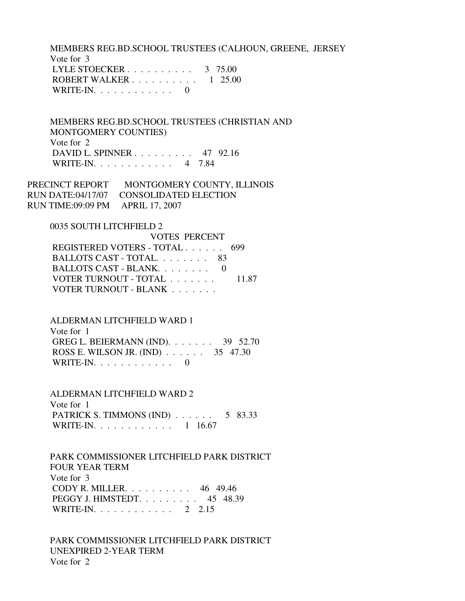MEMBERS REG.BD.SCHOOL TRUSTEES (CALHOUN, GREENE, JERSEY Vote for 3 LYLE STOECKER . . . . . . . . . . . 3 75.00 ROBERT WALKER . . . . . . . . . . 1 25.00 WRITE-IN.  $\ldots$  . . . . . . . . . 0

 MEMBERS REG.BD.SCHOOL TRUSTEES (CHRISTIAN AND MONTGOMERY COUNTIES) Vote for 2 DAVID L. SPINNER . . . . . . . . . 47 92.16 WRITE-IN. . . . . . . . . . . . 4 7.84

PRECINCT REPORT MONTGOMERY COUNTY, ILLINOIS RUN DATE:04/17/07 CONSOLIDATED ELECTION RUN TIME:09:09 PM APRIL 17, 2007

0035 SOUTH LITCHFIELD 2

| VOTES PERCENT             |       |
|---------------------------|-------|
| REGISTERED VOTERS - TOTAL | 699   |
| BALLOTS CAST - TOTAL 83   |       |
| BALLOTS CAST - BLANK $0$  |       |
| VOTER TURNOUT - TOTAL     | 11.87 |
| VOTER TURNOUT - BLANK     |       |

 ALDERMAN LITCHFIELD WARD 1 Vote for 1

 GREG L. BEIERMANN (IND). . . . . . . 39 52.70 ROSS E. WILSON JR. (IND) . . . . . . 35 47.30 WRITE-IN.  $\ldots$  . . . . . . . . . 0

 ALDERMAN LITCHFIELD WARD 2 Vote for 1 PATRICK S. TIMMONS (IND) . . . . . . 5 83.33 WRITE-IN. . . . . . . . . . . . 1 16.67

 PARK COMMISSIONER LITCHFIELD PARK DISTRICT FOUR YEAR TERM Vote for 3 CODY R. MILLER. . . . . . . . . . 46 49.46 PEGGY J. HIMSTEDT. . . . . . . . . 45 48.39 WRITE-IN. . . . . . . . . . . . 2 2.15

 PARK COMMISSIONER LITCHFIELD PARK DISTRICT UNEXPIRED 2-YEAR TERM Vote for 2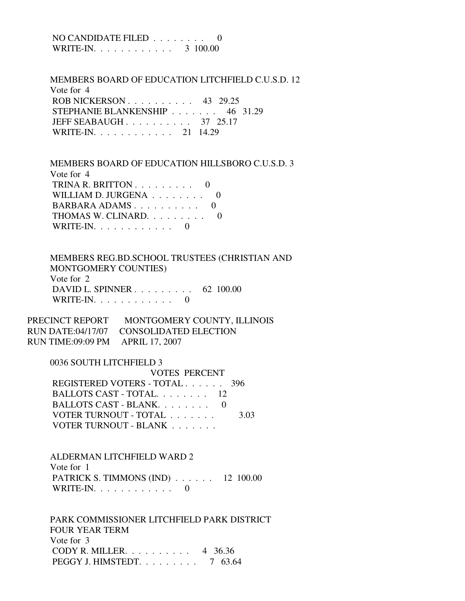NO CANDIDATE FILED . . . . . . . . 0 WRITE-IN. . . . . . . . . . . . 3 100.00

 MEMBERS BOARD OF EDUCATION LITCHFIELD C.U.S.D. 12 Vote for 4 ROB NICKERSON . . . . . . . . . . 43 29.25 STEPHANIE BLANKENSHIP . . . . . . . 46 31.29 JEFF SEABAUGH . . . . . . . . . . 37 25.17 WRITE-IN. . . . . . . . . . . . 21 14.29

 MEMBERS BOARD OF EDUCATION HILLSBORO C.U.S.D. 3 Vote for 4 TRINA R. BRITTON  $\ldots$  . . . . . . . 0 WILLIAM D. JURGENA . . . . . . . . 0 BARBARA ADAMS . . . . . . . . . . 0 THOMAS W. CLINARD. . . . . . . . . 0 WRITE-IN.  $\ldots$  . . . . . . . . 0

 MEMBERS REG.BD.SCHOOL TRUSTEES (CHRISTIAN AND MONTGOMERY COUNTIES) Vote for 2 DAVID L. SPINNER . . . . . . . . . 62 100.00 WRITE-IN.  $\ldots$  . . . . . . . . . 0

PRECINCT REPORT MONTGOMERY COUNTY, ILLINOIS RUN DATE:04/17/07 CONSOLIDATED ELECTION RUN TIME:09:09 PM APRIL 17, 2007

0036 SOUTH LITCHFIELD 3

 VOTES PERCENT REGISTERED VOTERS - TOTAL . . . . . . 396 BALLOTS CAST - TOTAL. . . . . . . . 12 BALLOTS CAST - BLANK. . . . . . . . 0 VOTER TURNOUT - TOTAL . . . . . . . 3.03 VOTER TURNOUT - BLANK . . . . . . .

 ALDERMAN LITCHFIELD WARD 2 Vote for 1 PATRICK S. TIMMONS (IND) . . . . . . 12 100.00 WRITE-IN. . . . . . . . . . . . 0

 PARK COMMISSIONER LITCHFIELD PARK DISTRICT FOUR YEAR TERM Vote for 3 CODY R. MILLER. . . . . . . . . . 4 36.36 PEGGY J. HIMSTEDT. . . . . . . . . 7 63.64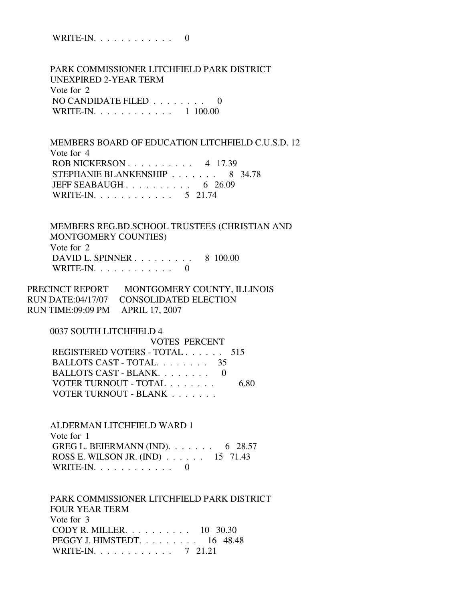WRITE-IN. . . . . . . . . . . . 0

 PARK COMMISSIONER LITCHFIELD PARK DISTRICT UNEXPIRED 2-YEAR TERM Vote for 2 NO CANDIDATE FILED . . . . . . . . 0 WRITE-IN. . . . . . . . . . . . 1 100.00

 MEMBERS BOARD OF EDUCATION LITCHFIELD C.U.S.D. 12 Vote for 4 ROB NICKERSON . . . . . . . . . . 4 17.39 STEPHANIE BLANKENSHIP . . . . . . . 8 34.78 JEFF SEABAUGH . . . . . . . . . . . 6 26.09 WRITE-IN. . . . . . . . . . . . 5 21.74

 MEMBERS REG.BD.SCHOOL TRUSTEES (CHRISTIAN AND MONTGOMERY COUNTIES) Vote for 2 DAVID L. SPINNER . . . . . . . . . 8 100.00 WRITE-IN.  $\ldots$  . . . . . . . . . 0

PRECINCT REPORT MONTGOMERY COUNTY, ILLINOIS RUN DATE:04/17/07 CONSOLIDATED ELECTION RUN TIME:09:09 PM APRIL 17, 2007

0037 SOUTH LITCHFIELD 4

| <b>VOTES PERCENT</b>          |      |
|-------------------------------|------|
| REGISTERED VOTERS - TOTAL 515 |      |
| BALLOTS CAST - TOTAL.<br>35.  |      |
| BALLOTS CAST - BLANK. 0       |      |
| VOTER TURNOUT - TOTAL         | 6.80 |
| VOTER TURNOUT - BLANK         |      |

 ALDERMAN LITCHFIELD WARD 1 Vote for 1 GREG L. BEIERMANN (IND). . . . . . . 6 28.57 ROSS E. WILSON JR. (IND) . . . . . . 15 71.43 WRITE-IN. . . . . . . . . . . . 0

 PARK COMMISSIONER LITCHFIELD PARK DISTRICT FOUR YEAR TERM Vote for 3 CODY R. MILLER. . . . . . . . . . 10 30.30 PEGGY J. HIMSTEDT. . . . . . . . . 16 48.48 WRITE-IN. . . . . . . . . . . . 7 21.21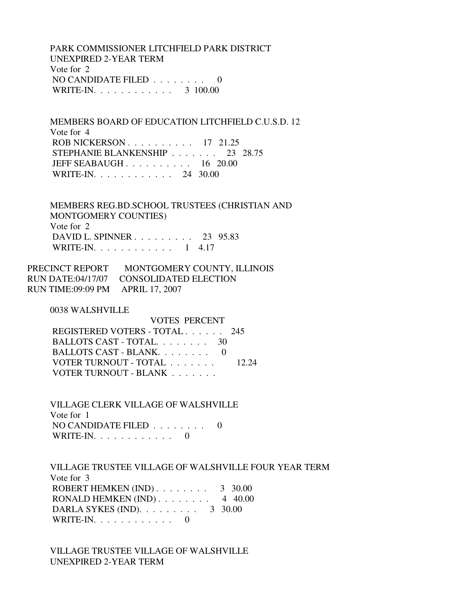PARK COMMISSIONER LITCHFIELD PARK DISTRICT UNEXPIRED 2-YEAR TERM Vote for 2 NO CANDIDATE FILED  $\ldots \ldots \ldots$  0 WRITE-IN. . . . . . . . . . . . 3 100.00

 MEMBERS BOARD OF EDUCATION LITCHFIELD C.U.S.D. 12 Vote for 4 ROB NICKERSON . . . . . . . . . . 17 21.25 STEPHANIE BLANKENSHIP . . . . . . . 23 28.75 JEFF SEABAUGH . . . . . . . . . . 16 20.00 WRITE-IN. . . . . . . . . . . . 24 30.00

 MEMBERS REG.BD.SCHOOL TRUSTEES (CHRISTIAN AND MONTGOMERY COUNTIES) Vote for 2 DAVID L. SPINNER . . . . . . . . . 23 95.83 WRITE-IN. . . . . . . . . . . . 1 4.17

| PRECINCT REPORT                  | MONTGOMERY COUNTY, ILLINOIS             |
|----------------------------------|-----------------------------------------|
|                                  | RUN DATE:04/17/07 CONSOLIDATED ELECTION |
| RUN TIME:09:09 PM APRIL 17, 2007 |                                         |

0038 WALSHVILLE

| VOTES PERCENT                 |       |
|-------------------------------|-------|
| REGISTERED VOTERS - TOTAL 245 |       |
| BALLOTS CAST - TOTAL 30       |       |
| BALLOTS CAST - BLANK          |       |
| VOTER TURNOUT - TOTAL         | 12.24 |
| VOTER TURNOUT - BLANK         |       |
|                               |       |

 VILLAGE CLERK VILLAGE OF WALSHVILLE Vote for 1 NO CANDIDATE FILED . . . . . . . . 0 WRITE-IN.  $\ldots$  . . . . . . . . . 0

 VILLAGE TRUSTEE VILLAGE OF WALSHVILLE FOUR YEAR TERM Vote for 3 ROBERT HEMKEN (IND) . . . . . . . . 3 30.00 RONALD HEMKEN  $(IND)$ ....... 4 40.00 DARLA SYKES (IND). . . . . . . . . 3 30.00 WRITE-IN.  $\ldots$  . . . . . . . . . 0

 VILLAGE TRUSTEE VILLAGE OF WALSHVILLE UNEXPIRED 2-YEAR TERM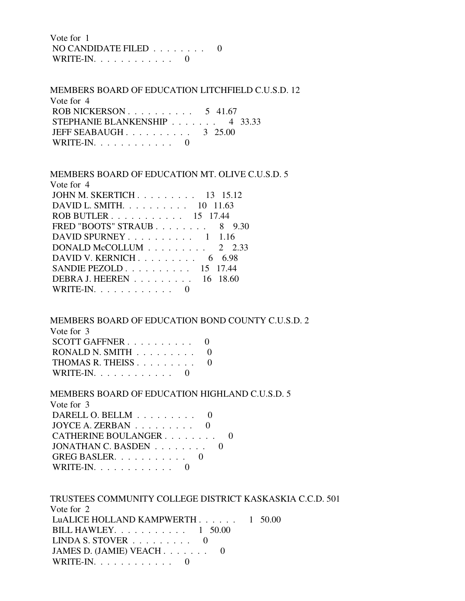Vote for 1 NO CANDIDATE FILED . . . . . . . . 0 WRITE-IN. . . . . . . . . . . . 0

 MEMBERS BOARD OF EDUCATION LITCHFIELD C.U.S.D. 12 Vote for 4 ROB NICKERSON . . . . . . . . . . 5 41.67 STEPHANIE BLANKENSHIP . . . . . . . 4 33.33 JEFF SEABAUGH . . . . . . . . . . . 3 25.00 WRITE-IN.  $\ldots$  . . . . . . . . 0

 MEMBERS BOARD OF EDUCATION MT. OLIVE C.U.S.D. 5 Vote for 4 JOHN M. SKERTICH . . . . . . . . . 13 15.12 DAVID L. SMITH. . . . . . . . . . 10 11.63 ROB BUTLER . . . . . . . . . . . 15 17.44 FRED "BOOTS" STRAUB . . . . . . . . 8 9.30 DAVID SPURNEY . . . . . . . . . . 1 1.16 DONALD McCOLLUM . . . . . . . . . 2 2.33 DAVID V. KERNICH . . . . . . . . . 6 6.98 SANDIE PEZOLD . . . . . . . . . . 15 17.44 DEBRA J. HEEREN . . . . . . . . . 16 18.60 WRITE-IN.  $\ldots$  . . . . . . . . . 0

MEMBERS BOARD OF EDUCATION BOND COUNTY C.U.S.D. 2

| Vote for 3                                  |  |
|---------------------------------------------|--|
| SCOTT GAFFNER $\ldots \ldots \ldots \ldots$ |  |
| RONALD N. SMITH $\ldots \ldots \ldots$ 0    |  |
| THOMAS R. THEISS                            |  |
| WRITE-IN. $\ldots$                          |  |

MEMBERS BOARD OF EDUCATION HIGHLAND C.U.S.D. 5

| Vote for 3                                    |  |
|-----------------------------------------------|--|
| DARELL O. BELLM $\ldots \ldots \ldots$        |  |
| JOYCE A. ZERBAN $\ldots \ldots \ldots \ldots$ |  |
| CATHERINE BOULANGER                           |  |
| JONATHAN C. BASDEN 0                          |  |
| GREG BASLER. $\ldots$ 0                       |  |
| WRITE-IN. $\ldots$                            |  |

| TRUSTEES COMMUNITY COLLEGE DISTRICT KASKASKIA C.C.D. 501 |  |
|----------------------------------------------------------|--|
| Vote for 2                                               |  |
| LuALICE HOLLAND KAMPWERTH $\ldots$ , $\ldots$ 1 50.00    |  |
| BILL HAWLEY. $\ldots$ $\ldots$ $\ldots$ $\ldots$ 1 50.00 |  |
| LINDA S. STOVER $\ldots \ldots \ldots$ 0                 |  |
| JAMES D. (JAMIE) VEACH 0                                 |  |
| WRITE-IN. $\ldots$ 0                                     |  |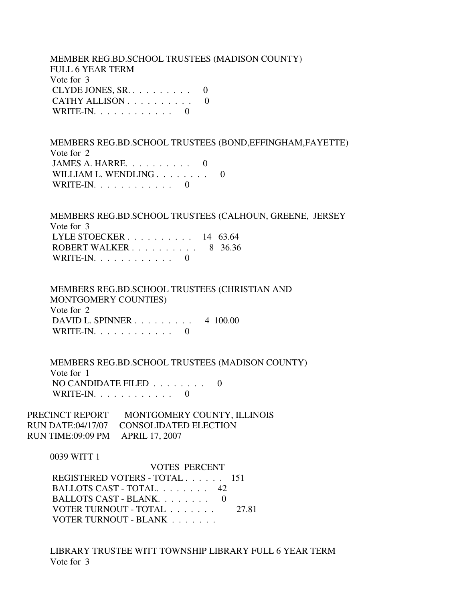MEMBER REG.BD.SCHOOL TRUSTEES (MADISON COUNTY) FULL 6 YEAR TERM Vote for 3 CLYDE JONES,  $SR_1, \ldots, \ldots, \ldots, 0$ CATHY ALLISON . . . . . . . . . . 0 WRITE-IN.  $\ldots$  . . . . . . . . 0 MEMBERS REG.BD.SCHOOL TRUSTEES (BOND,EFFINGHAM,FAYETTE) Vote for 2 JAMES A. HARRE.  $\ldots$  . . . . . . . 0 WILLIAM L. WENDLING . . . . . . . . 0 WRITE-IN.  $\ldots$  . . . . . . . . . 0 MEMBERS REG.BD.SCHOOL TRUSTEES (CALHOUN, GREENE, JERSEY Vote for 3 LYLE STOECKER . . . . . . . . . . 14 63.64 ROBERT WALKER . . . . . . . . . . 8 36.36 WRITE-IN.  $\ldots$  . . . . . . . . . 0 MEMBERS REG.BD.SCHOOL TRUSTEES (CHRISTIAN AND MONTGOMERY COUNTIES) Vote for 2 DAVID L. SPINNER . . . . . . . . . 4 100.00 WRITE-IN.  $\ldots$  . . . . . . . . 0 MEMBERS REG.BD.SCHOOL TRUSTEES (MADISON COUNTY) Vote for 1 NO CANDIDATE FILED . . . . . . . . 0 WRITE-IN.  $\ldots$  . . . . . . . . 0 PRECINCT REPORT MONTGOMERY COUNTY, ILLINOIS RUN DATE:04/17/07 CONSOLIDATED ELECTION RUN TIME:09:09 PM APRIL 17, 2007 0039 WITT 1 VOTES PERCENT REGISTERED VOTERS - TOTAL . . . . . . 151 BALLOTS CAST - TOTAL. . . . . . . . 42 BALLOTS CAST - BLANK. . . . . . . . 0

VOTER TURNOUT - BLANK . . . . . . . LIBRARY TRUSTEE WITT TOWNSHIP LIBRARY FULL 6 YEAR TERM

VOTER TURNOUT - TOTAL . . . . . . . 27.81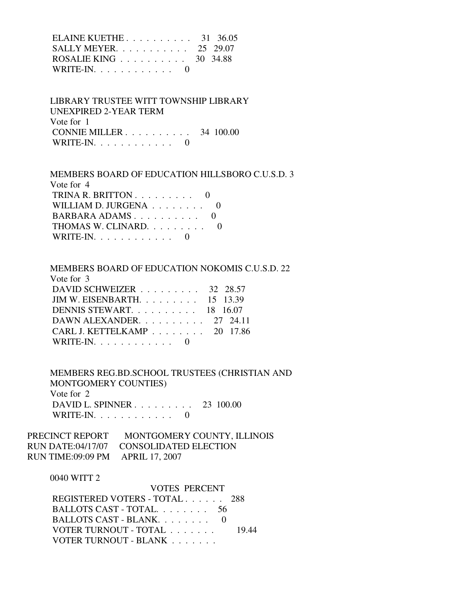| ELAINE KUETHE $31 \quad 36.05$                      |  |
|-----------------------------------------------------|--|
| SALLY MEYER. $\ldots$ 25 29.07                      |  |
| ROSALIE KING $\ldots \ldots \ldots \ldots$ 30 34.88 |  |
| WRITE-IN. $\ldots$ 0                                |  |

# LIBRARY TRUSTEE WITT TOWNSHIP LIBRARY UNEXPIRED 2-YEAR TERM Vote for 1 CONNIE MILLER . . . . . . . . . . 34 100.00 WRITE-IN.  $\ldots$  . . . . . . . . . 0

## MEMBERS BOARD OF EDUCATION HILLSBORO C.U.S.D. 3

| Vote for 4                                     |  |
|------------------------------------------------|--|
| TRINA R. BRITTON $\ldots \ldots \ldots \ldots$ |  |
| WILLIAM D. JURGENA $\ldots \ldots \ldots$      |  |
| BARBARA ADAMS $0$                              |  |
| THOMAS W. CLINARD. 0                           |  |
| WRITE-IN. $\ldots$ 0                           |  |

## MEMBERS BOARD OF EDUCATION NOKOMIS C.U.S.D. 22

| Vote for 3                           |  |
|--------------------------------------|--|
| DAVID SCHWEIZER $\ldots$ 32 28.57    |  |
| JIM W. EISENBARTH. $\ldots$ 15 13.39 |  |
| DENNIS STEWART. 18 16.07             |  |
| DAWN ALEXANDER. $\ldots$ 27 24.11    |  |
| CARL J. KETTELKAMP 20 17.86          |  |
| WRITE-IN. $\ldots$ 0                 |  |

 MEMBERS REG.BD.SCHOOL TRUSTEES (CHRISTIAN AND MONTGOMERY COUNTIES) Vote for 2 DAVID L. SPINNER . . . . . . . . . 23 100.00 WRITE-IN.  $\ldots$  . . . . . . . . . 0

# PRECINCT REPORT MONTGOMERY COUNTY, ILLINOIS RUN DATE:04/17/07 CONSOLIDATED ELECTION RUN TIME:09:09 PM APRIL 17, 2007

#### 0040 WITT 2

| VOTES PERCENT                 |       |
|-------------------------------|-------|
| REGISTERED VOTERS - TOTAL 288 |       |
| BALLOTS CAST - TOTAL. 56      |       |
| BALLOTS CAST - BLANK $0$      |       |
| VOTER TURNOUT - TOTAL         | 19.44 |
| VOTER TURNOUT - BLANK         |       |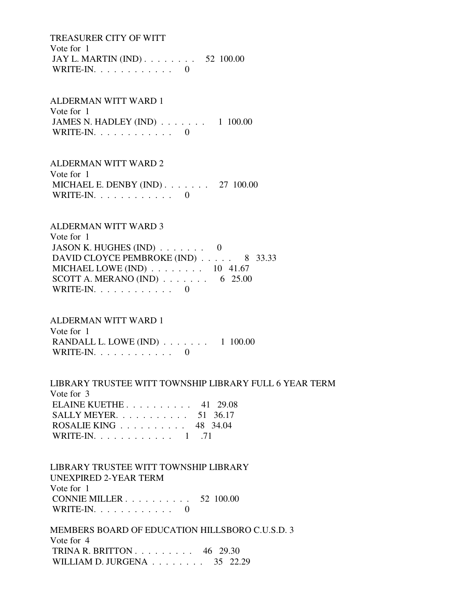TREASURER CITY OF WITT Vote for 1 JAY L. MARTIN (IND) . . . . . . . . 52 100.00 WRITE-IN.  $\ldots$  . . . . . . . . . 0

 ALDERMAN WITT WARD 1 Vote for 1 JAMES N. HADLEY (IND) . . . . . . . 1 100.00 WRITE-IN.  $\ldots$  . . . . . . . . . 0

 ALDERMAN WITT WARD 2 Vote for 1 MICHAEL E. DENBY (IND) . . . . . . . 27 100.00 WRITE-IN. . . . . . . . . . . . 0

# ALDERMAN WITT WARD 3

 Vote for 1 JASON K. HUGHES  $(IND)$ ....... 0 DAVID CLOYCE PEMBROKE (IND) . . . . . 8 33.33 MICHAEL LOWE (IND) . . . . . . . . 10 41.67 SCOTT A. MERANO (IND)  $\ldots \ldots \ldots$  6 25.00 WRITE-IN.  $\ldots$  . . . . . . . . 0

## ALDERMAN WITT WARD 1

 Vote for 1 RANDALL L. LOWE (IND) . . . . . . . 1 100.00 WRITE-IN.  $\ldots$  . . . . . . . . 0

# LIBRARY TRUSTEE WITT TOWNSHIP LIBRARY FULL 6 YEAR TERM

 Vote for 3 ELAINE KUETHE . . . . . . . . . . 41 29.08 SALLY MEYER. . . . . . . . . . . 51 36.17 ROSALIE KING . . . . . . . . . . 48 34.04 WRITE-IN. . . . . . . . . . . . . 1 .71

 LIBRARY TRUSTEE WITT TOWNSHIP LIBRARY UNEXPIRED 2-YEAR TERM Vote for 1 CONNIE MILLER . . . . . . . . . . 52 100.00 WRITE-IN. . . . . . . . . . . . 0

 MEMBERS BOARD OF EDUCATION HILLSBORO C.U.S.D. 3 Vote for 4 TRINA R. BRITTON . . . . . . . . . 46 29.30 WILLIAM D. JURGENA . . . . . . . . 35 22.29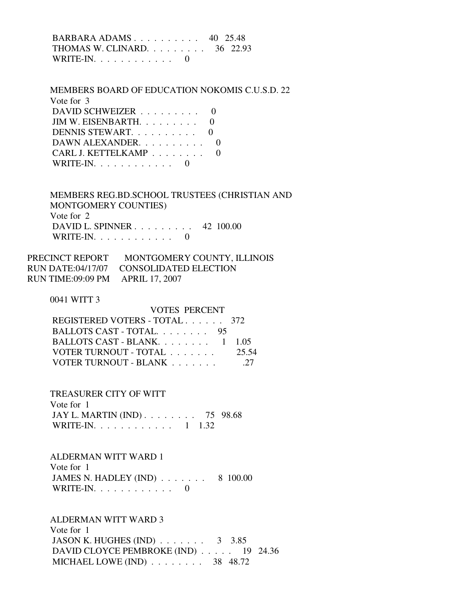BARBARA ADAMS . . . . . . . . . . 40 25.48 THOMAS W. CLINARD. . . . . . . . . 36 22.93 WRITE-IN.  $\ldots$  . . . . . . . . . 0

 MEMBERS BOARD OF EDUCATION NOKOMIS C.U.S.D. 22 Vote for 3 DAVID SCHWEIZER . . . . . . . . . 0 JIM W. EISENBARTH. . . . . . . . . 0 DENNIS STEWART. . . . . . . . . . 0 DAWN ALEXANDER. . . . . . . . . . 0 CARL J. KETTELKAMP . . . . . . . . 0 WRITE-IN.  $\ldots$  . . . . . . . . 0

 MEMBERS REG.BD.SCHOOL TRUSTEES (CHRISTIAN AND MONTGOMERY COUNTIES) Vote for 2 DAVID L. SPINNER . . . . . . . . . 42 100.00 WRITE-IN.  $\ldots$  . . . . . . . . . 0

| PRECINCT REPORT                  | MONTGOMERY COUNTY, ILLINOIS             |
|----------------------------------|-----------------------------------------|
|                                  | RUN DATE:04/17/07 CONSOLIDATED ELECTION |
| RUN TIME:09:09 PM APRIL 17, 2007 |                                         |

0041 WITT 3

 VOTES PERCENT REGISTERED VOTERS - TOTAL . . . . . . 372 BALLOTS CAST - TOTAL. . . . . . . . 95<br>BALLOTS CAST BLANK 1 105  $BAI$  I OTS CAST BLANK

| DALLUIS CASI - DLAINN $1 \quad 1.03$ |       |
|--------------------------------------|-------|
| VOTER TURNOUT - TOTAL                | 25.54 |
| VOTER TURNOUT - BLANK                | .27   |

TREASURER CITY OF WITT

 Vote for 1 JAY L. MARTIN (IND) . . . . . . . . 75 98.68 WRITE-IN. . . . . . . . . . . . 1 1.32

ALDERMAN WITT WARD 1

 Vote for 1 JAMES N. HADLEY (IND) . . . . . . . 8 100.00 WRITE-IN. . . . . . . . . . . . 0

ALDERMAN WITT WARD 3

 Vote for 1 JASON K. HUGHES (IND) . . . . . . . 3 3.85 DAVID CLOYCE PEMBROKE (IND) . . . . . 19 24.36 MICHAEL LOWE (IND) . . . . . . . . 38 48.72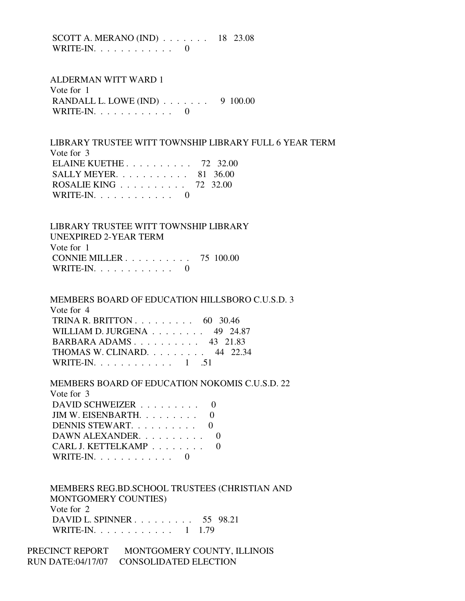SCOTT A. MERANO (IND) . . . . . . . 18 23.08  $WRITE-IN. \ldots \ldots \ldots$ 

 ALDERMAN WITT WARD 1 Vote for 1 RANDALL L. LOWE (IND) . . . . . . . 9 100.00 WRITE-IN.  $\ldots$  . . . . . . . . . 0

 LIBRARY TRUSTEE WITT TOWNSHIP LIBRARY FULL 6 YEAR TERM Vote for 3 ELAINE KUETHE . . . . . . . . . . 72 32.00 SALLY MEYER. . . . . . . . . . . 81 36.00 ROSALIE KING . . . . . . . . . . 72 32.00 WRITE-IN.  $\ldots$  . . . . . . . . . 0

 LIBRARY TRUSTEE WITT TOWNSHIP LIBRARY UNEXPIRED 2-YEAR TERM Vote for 1 CONNIE MILLER . . . . . . . . . . 75 100.00 WRITE-IN.  $\ldots$  . . . . . . . . . 0

 MEMBERS BOARD OF EDUCATION HILLSBORO C.U.S.D. 3 Vote for 4 TRINA R. BRITTON . . . . . . . . . 60 30.46 WILLIAM D. JURGENA . . . . . . . . 49 24.87 BARBARA ADAMS . . . . . . . . . . 43 21.83 THOMAS W. CLINARD. . . . . . . . . 44 22.34 WRITE-IN.  $\ldots$  . . . . . . . . . 1 .51

MEMBERS BOARD OF EDUCATION NOKOMIS C.U.S.D. 22

| Vote for 3                                                |  |
|-----------------------------------------------------------|--|
| DAVID SCHWEIZER                                           |  |
| JIM W. EISENBARTH. $\ldots$ 0                             |  |
| DENNIS STEWART. 0                                         |  |
| DAWN ALEXANDER                                            |  |
| CARL J. KETTELKAMP                                        |  |
| $\text{WRITE-IN.}\; \ldots \; \ldots \; \ldots \; \ldots$ |  |

 MEMBERS REG.BD.SCHOOL TRUSTEES (CHRISTIAN AND MONTGOMERY COUNTIES) Vote for 2 DAVID L. SPINNER . . . . . . . . . 55 98.21 WRITE-IN. . . . . . . . . . . . 1 1.79

PRECINCT REPORT MONTGOMERY COUNTY, ILLINOIS RUN DATE:04/17/07 CONSOLIDATED ELECTION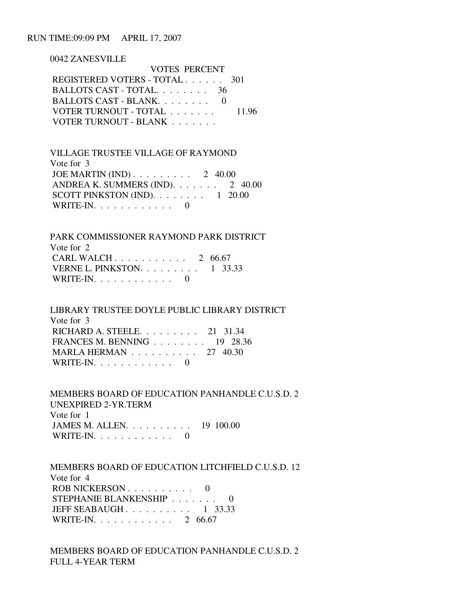### RUN TIME:09:09 PM APRIL 17, 2007

0042 ZANESVILLE

| <b>VOTES PERCENT</b>          |       |
|-------------------------------|-------|
| REGISTERED VOTERS - TOTAL 301 |       |
| BALLOTS CAST - TOTAL $36$     |       |
| BALLOTS CAST - BLANK. 0       |       |
| VOTER TURNOUT - TOTAL         | 11.96 |
| VOTER TURNOUT - BLANK         |       |

 VILLAGE TRUSTEE VILLAGE OF RAYMOND Vote for 3 JOE MARTIN (IND) . . . . . . . . . 2 40.00 ANDREA K. SUMMERS (IND). . . . . . . 2 40.00 SCOTT PINKSTON (IND).  $\ldots \ldots \ldots 1$  20.00 WRITE-IN. . . . . . . . . . . . 0

 PARK COMMISSIONER RAYMOND PARK DISTRICT Vote for 2 CARL WALCH . . . . . . . . . . . 2 66.67 VERNE L. PINKSTON. . . . . . . . . 1 33.33 WRITE-IN.  $\ldots$  . . . . . . . . . 0

 LIBRARY TRUSTEE DOYLE PUBLIC LIBRARY DISTRICT Vote for 3 RICHARD A. STEELE. . . . . . . . . 21 31.34 FRANCES M. BENNING . . . . . . . . 19 28.36 MARLA HERMAN . . . . . . . . . . 27 40.30 WRITE-IN. . . . . . . . . . . . 0

 MEMBERS BOARD OF EDUCATION PANHANDLE C.U.S.D. 2 UNEXPIRED 2-YR.TERM Vote for 1 JAMES M. ALLEN. . . . . . . . . . 19 100.00 WRITE-IN.  $\ldots$  . . . . . . . . 0

 MEMBERS BOARD OF EDUCATION LITCHFIELD C.U.S.D. 12 Vote for 4 ROB NICKERSON . . . . . . . . . . 0 STEPHANIE BLANKENSHIP . . . . . . . 0 JEFF SEABAUGH . . . . . . . . . . 1 33.33 WRITE-IN. . . . . . . . . . . . 2 66.67

 MEMBERS BOARD OF EDUCATION PANHANDLE C.U.S.D. 2 FULL 4-YEAR TERM